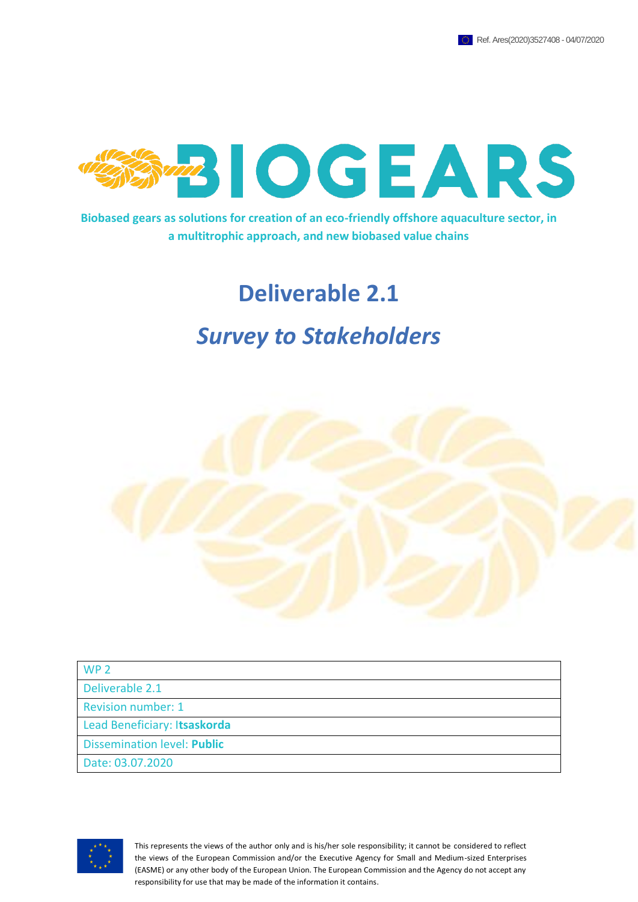

**Biobased gears as solutions for creation of an eco-friendly offshore aquaculture sector, in a multitrophic approach, and new biobased value chains**

## **Deliverable 2.1**

## *Survey to Stakeholders*



| WP <sub>2</sub>                    |  |
|------------------------------------|--|
| Deliverable 2.1                    |  |
| <b>Revision number: 1</b>          |  |
| Lead Beneficiary: Itsaskorda       |  |
| <b>Dissemination level: Public</b> |  |
| Date: 03.07.2020                   |  |



This represents the views of the author only and is his/her sole responsibility; it cannot be considered to reflect the views of the European Commission and/or the Executive Agency for Small and Medium-sized Enterprises (EASME) or any other body of the European Union. The European Commission and the Agency do not accept any responsibility for use that may be made of the information it contains.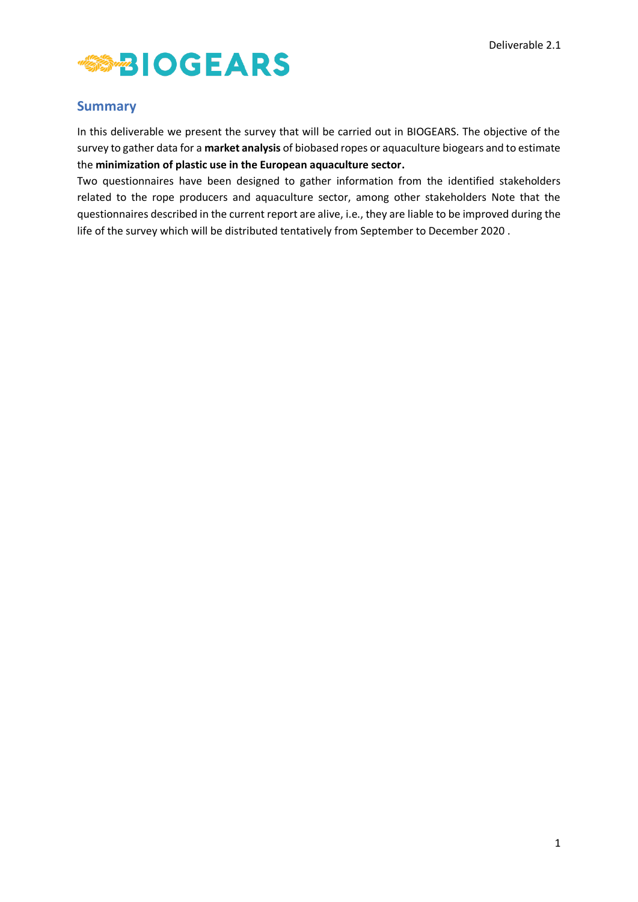

### <span id="page-1-0"></span>**Summary**

In this deliverable we present the survey that will be carried out in BIOGEARS. The objective of the survey to gather data for a **market analysis** of biobased ropes or aquaculture biogears and to estimate the **minimization of plastic use in the European aquaculture sector.**

Two questionnaires have been designed to gather information from the identified stakeholders related to the rope producers and aquaculture sector, among other stakeholders Note that the questionnaires described in the current report are alive, i.e., they are liable to be improved during the life of the survey which will be distributed tentatively from September to December 2020 .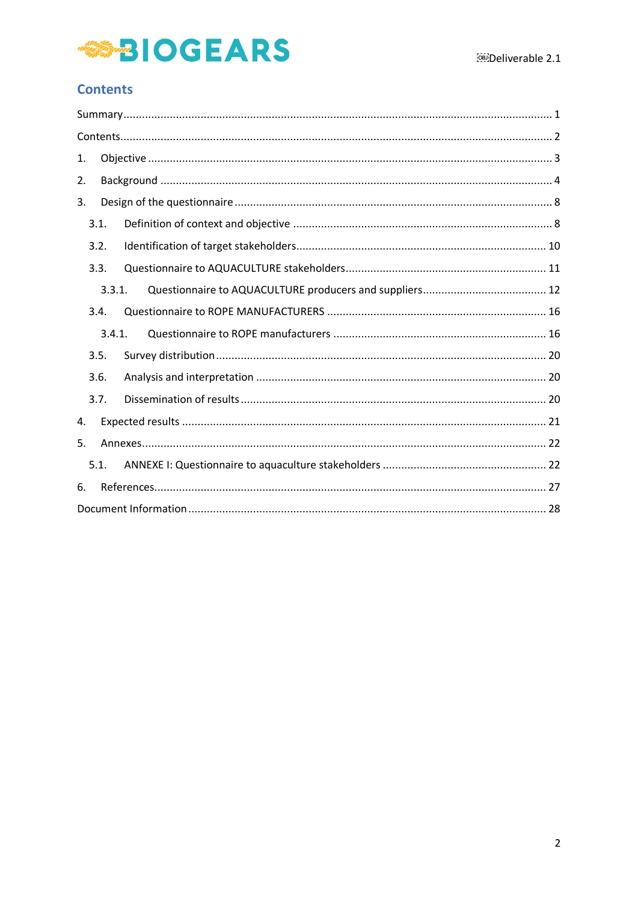## **SS-BIOGEARS**

## <span id="page-2-0"></span>**Contents**

| 1. |      |        |  |
|----|------|--------|--|
| 2. |      |        |  |
| 3. |      |        |  |
|    | 3.1. |        |  |
|    | 3.2. |        |  |
|    | 3.3. |        |  |
|    |      | 3.3.1. |  |
|    | 3.4. |        |  |
|    |      | 3.4.1. |  |
|    | 3.5. |        |  |
|    | 3.6. |        |  |
|    | 3.7. |        |  |
| 4. |      |        |  |
| 5. |      |        |  |
|    | 5.1. |        |  |
| 6. |      |        |  |
|    |      |        |  |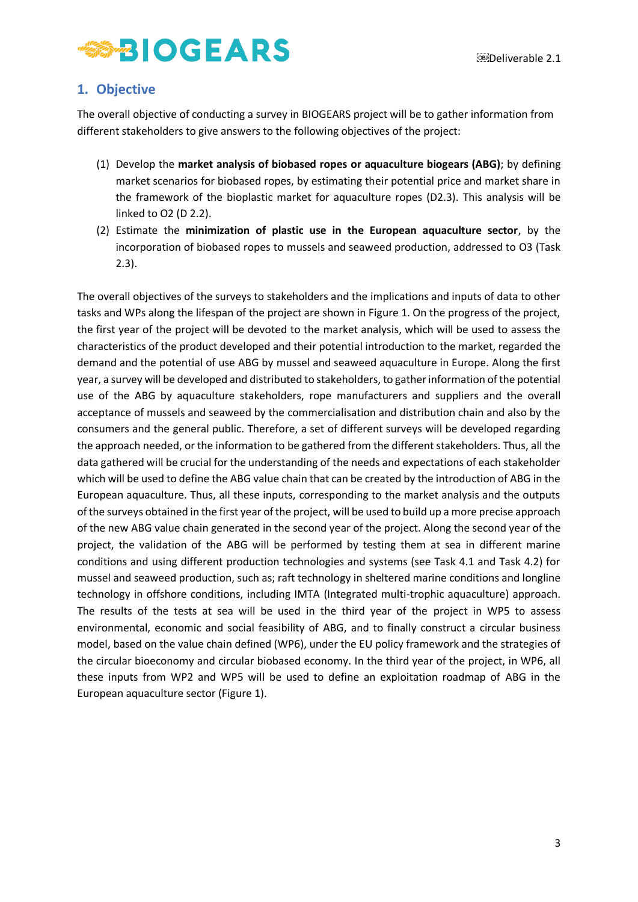## <span id="page-3-0"></span>**1. Objective**

The overall objective of conducting a survey in BIOGEARS project will be to gather information from different stakeholders to give answers to the following objectives of the project:

- (1) Develop the **market analysis of biobased ropes or aquaculture biogears (ABG)**; by defining market scenarios for biobased ropes, by estimating their potential price and market share in the framework of the bioplastic market for aquaculture ropes (D2.3). This analysis will be linked to O2 (D 2.2).
- (2) Estimate the **minimization of plastic use in the European aquaculture sector**, by the incorporation of biobased ropes to mussels and seaweed production, addressed to O3 (Task 2.3).

The overall objectives of the surveys to stakeholders and the implications and inputs of data to other tasks and WPs along the lifespan of the project are shown in Figure 1. On the progress of the project, the first year of the project will be devoted to the market analysis, which will be used to assess the characteristics of the product developed and their potential introduction to the market, regarded the demand and the potential of use ABG by mussel and seaweed aquaculture in Europe. Along the first year, a survey will be developed and distributed to stakeholders, to gather information of the potential use of the ABG by aquaculture stakeholders, rope manufacturers and suppliers and the overall acceptance of mussels and seaweed by the commercialisation and distribution chain and also by the consumers and the general public. Therefore, a set of different surveys will be developed regarding the approach needed, or the information to be gathered from the different stakeholders. Thus, all the data gathered will be crucial for the understanding of the needs and expectations of each stakeholder which will be used to define the ABG value chain that can be created by the introduction of ABG in the European aquaculture. Thus, all these inputs, corresponding to the market analysis and the outputs of the surveys obtained in the first year of the project, will be used to build up a more precise approach of the new ABG value chain generated in the second year of the project. Along the second year of the project, the validation of the ABG will be performed by testing them at sea in different marine conditions and using different production technologies and systems (see Task 4.1 and Task 4.2) for mussel and seaweed production, such as; raft technology in sheltered marine conditions and longline technology in offshore conditions, including IMTA (Integrated multi-trophic aquaculture) approach. The results of the tests at sea will be used in the third year of the project in WP5 to assess environmental, economic and social feasibility of ABG, and to finally construct a circular business model, based on the value chain defined (WP6), under the EU policy framework and the strategies of the circular bioeconomy and circular biobased economy. In the third year of the project, in WP6, all these inputs from WP2 and WP5 will be used to define an exploitation roadmap of ABG in the European aquaculture sector (Figure 1).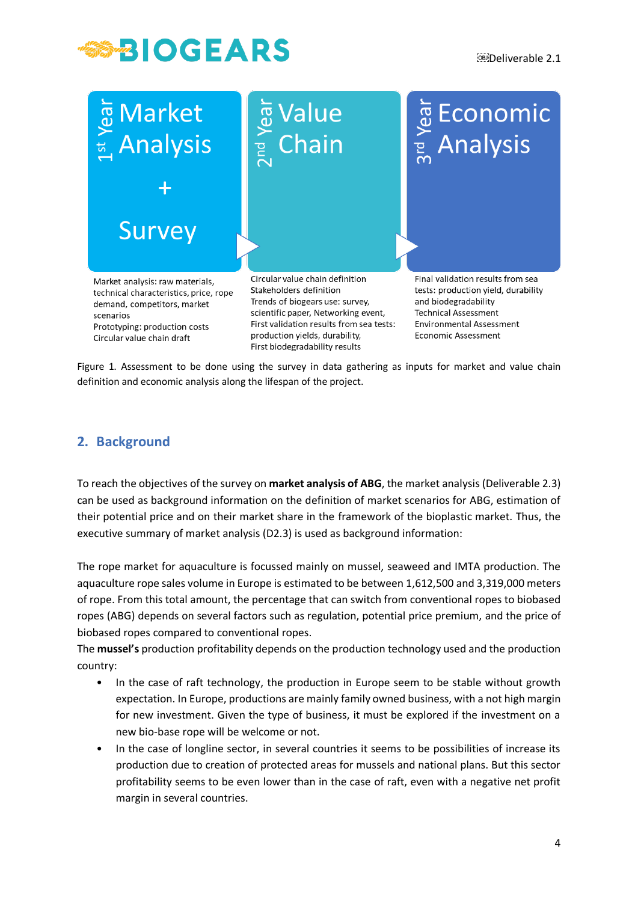



Prototyping: production costs Circular value chain draft

First validation results from sea tests: production yields, durability, First biodegradability results

**Environmental Assessment Economic Assessment** 

Figure 1. Assessment to be done using the survey in data gathering as inputs for market and value chain definition and economic analysis along the lifespan of the project.

## <span id="page-4-0"></span>**2. Background**

To reach the objectives of the survey on **market analysis of ABG**, the market analysis (Deliverable 2.3) can be used as background information on the definition of market scenarios for ABG, estimation of their potential price and on their market share in the framework of the bioplastic market. Thus, the executive summary of market analysis (D2.3) is used as background information:

The rope market for aquaculture is focussed mainly on mussel, seaweed and IMTA production. The aquaculture rope sales volume in Europe is estimated to be between 1,612,500 and 3,319,000 meters of rope. From this total amount, the percentage that can switch from conventional ropes to biobased ropes (ABG) depends on several factors such as regulation, potential price premium, and the price of biobased ropes compared to conventional ropes.

The **mussel's** production profitability depends on the production technology used and the production country:

- In the case of raft technology, the production in Europe seem to be stable without growth expectation. In Europe, productions are mainly family owned business, with a not high margin for new investment. Given the type of business, it must be explored if the investment on a new bio-base rope will be welcome or not.
- In the case of longline sector, in several countries it seems to be possibilities of increase its production due to creation of protected areas for mussels and national plans. But this sector profitability seems to be even lower than in the case of raft, even with a negative net profit margin in several countries.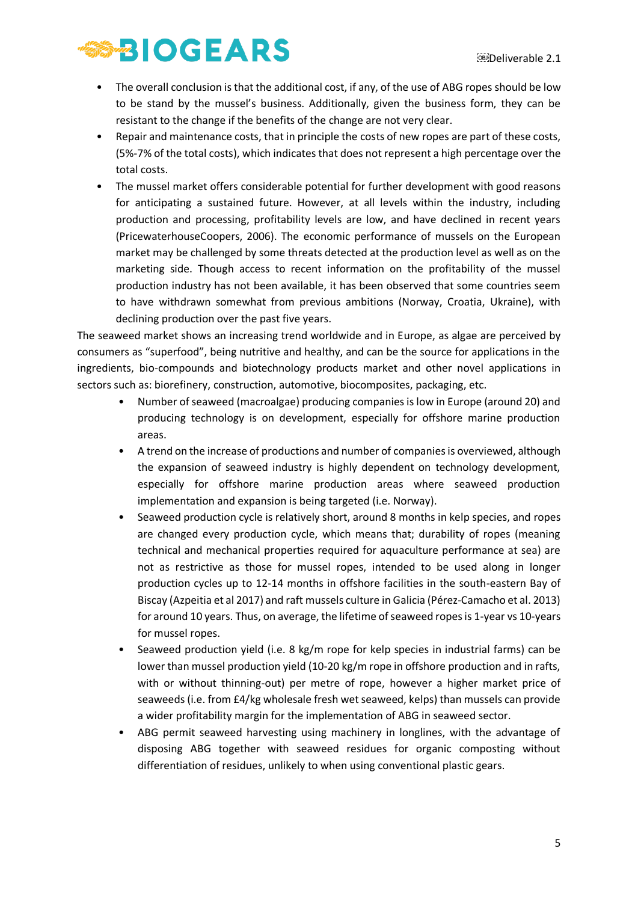## **SABIOGEARS**

- The overall conclusion is that the additional cost, if any, of the use of ABG ropes should be low to be stand by the mussel's business. Additionally, given the business form, they can be resistant to the change if the benefits of the change are not very clear.
- Repair and maintenance costs, that in principle the costs of new ropes are part of these costs, (5%-7% of the total costs), which indicates that does not represent a high percentage over the total costs.
- The mussel market offers considerable potential for further development with good reasons for anticipating a sustained future. However, at all levels within the industry, including production and processing, profitability levels are low, and have declined in recent years (PricewaterhouseCoopers, 2006). The economic performance of mussels on the European market may be challenged by some threats detected at the production level as well as on the marketing side. Though access to recent information on the profitability of the mussel production industry has not been available, it has been observed that some countries seem to have withdrawn somewhat from previous ambitions (Norway, Croatia, Ukraine), with declining production over the past five years.

The seaweed market shows an increasing trend worldwide and in Europe, as algae are perceived by consumers as "superfood", being nutritive and healthy, and can be the source for applications in the ingredients, bio-compounds and biotechnology products market and other novel applications in sectors such as: biorefinery, construction, automotive, biocomposites, packaging, etc.

- Number of seaweed (macroalgae) producing companies is low in Europe (around 20) and producing technology is on development, especially for offshore marine production areas.
- A trend on the increase of productions and number of companies is overviewed, although the expansion of seaweed industry is highly dependent on technology development, especially for offshore marine production areas where seaweed production implementation and expansion is being targeted (i.e. Norway).
- Seaweed production cycle is relatively short, around 8 months in kelp species, and ropes are changed every production cycle, which means that; durability of ropes (meaning technical and mechanical properties required for aquaculture performance at sea) are not as restrictive as those for mussel ropes, intended to be used along in longer production cycles up to 12-14 months in offshore facilities in the south-eastern Bay of Biscay (Azpeitia et al 2017) and raft mussels culture in Galicia (Pérez-Camacho et al. 2013) for around 10 years. Thus, on average, the lifetime of seaweed ropes is 1-year vs 10-years for mussel ropes.
- Seaweed production yield (i.e. 8 kg/m rope for kelp species in industrial farms) can be lower than mussel production yield (10-20 kg/m rope in offshore production and in rafts, with or without thinning-out) per metre of rope, however a higher market price of seaweeds (i.e. from £4/kg wholesale fresh wet seaweed, kelps) than mussels can provide a wider profitability margin for the implementation of ABG in seaweed sector.
- ABG permit seaweed harvesting using machinery in longlines, with the advantage of disposing ABG together with seaweed residues for organic composting without differentiation of residues, unlikely to when using conventional plastic gears.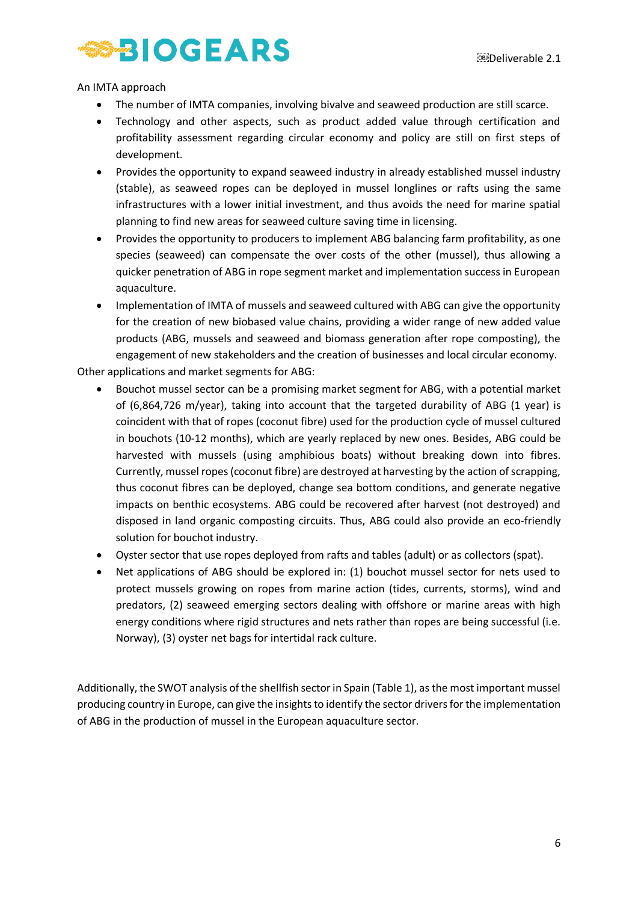An IMTA approach

- The number of IMTA companies, involving bivalve and seaweed production are still scarce.
- Technology and other aspects, such as product added value through certification and profitability assessment regarding circular economy and policy are still on first steps of development.
- Provides the opportunity to expand seaweed industry in already established mussel industry (stable), as seaweed ropes can be deployed in mussel longlines or rafts using the same infrastructures with a lower initial investment, and thus avoids the need for marine spatial planning to find new areas for seaweed culture saving time in licensing.
- Provides the opportunity to producers to implement ABG balancing farm profitability, as one species (seaweed) can compensate the over costs of the other (mussel), thus allowing a quicker penetration of ABG in rope segment market and implementation success in European aquaculture.
- Implementation of IMTA of mussels and seaweed cultured with ABG can give the opportunity for the creation of new biobased value chains, providing a wider range of new added value products (ABG, mussels and seaweed and biomass generation after rope composting), the engagement of new stakeholders and the creation of businesses and local circular economy.

Other applications and market segments for ABG:

- Bouchot mussel sector can be a promising market segment for ABG, with a potential market of (6,864,726 m/year), taking into account that the targeted durability of ABG (1 year) is coincident with that of ropes (coconut fibre) used for the production cycle of mussel cultured in bouchots (10-12 months), which are yearly replaced by new ones. Besides, ABG could be harvested with mussels (using amphibious boats) without breaking down into fibres. Currently, mussel ropes (coconut fibre) are destroyed at harvesting by the action of scrapping, thus coconut fibres can be deployed, change sea bottom conditions, and generate negative impacts on benthic ecosystems. ABG could be recovered after harvest (not destroyed) and disposed in land organic composting circuits. Thus, ABG could also provide an eco-friendly solution for bouchot industry.
- Oyster sector that use ropes deployed from rafts and tables (adult) or as collectors (spat).
- Net applications of ABG should be explored in: (1) bouchot mussel sector for nets used to protect mussels growing on ropes from marine action (tides, currents, storms), wind and predators, (2) seaweed emerging sectors dealing with offshore or marine areas with high energy conditions where rigid structures and nets rather than ropes are being successful (i.e. Norway), (3) oyster net bags for intertidal rack culture.

Additionally, the SWOT analysis of the shellfish sector in Spain (Table 1), as the most important mussel producing country in Europe, can give the insights to identify the sector drivers for the implementation of ABG in the production of mussel in the European aquaculture sector.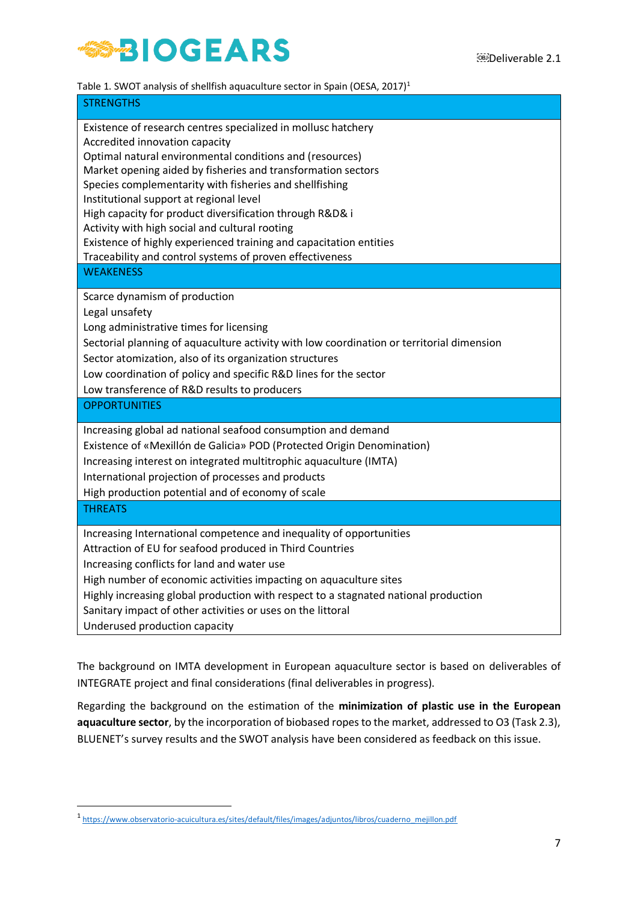

| Table 1. SWOT analysis of shellfish aquaculture sector in Spain (OESA, 2017) <sup>1</sup> |  |
|-------------------------------------------------------------------------------------------|--|
|                                                                                           |  |

| <b>STRENGTHS</b>                                                                                                                                                                                                                                                                                                                                                                                                                                                                                                                                                                  |
|-----------------------------------------------------------------------------------------------------------------------------------------------------------------------------------------------------------------------------------------------------------------------------------------------------------------------------------------------------------------------------------------------------------------------------------------------------------------------------------------------------------------------------------------------------------------------------------|
| Existence of research centres specialized in mollusc hatchery<br>Accredited innovation capacity<br>Optimal natural environmental conditions and (resources)<br>Market opening aided by fisheries and transformation sectors<br>Species complementarity with fisheries and shellfishing<br>Institutional support at regional level<br>High capacity for product diversification through R&D& i<br>Activity with high social and cultural rooting<br>Existence of highly experienced training and capacitation entities<br>Traceability and control systems of proven effectiveness |
| <b>WEAKENESS</b>                                                                                                                                                                                                                                                                                                                                                                                                                                                                                                                                                                  |
| Scarce dynamism of production<br>Legal unsafety<br>Long administrative times for licensing<br>Sectorial planning of aquaculture activity with low coordination or territorial dimension<br>Sector atomization, also of its organization structures<br>Low coordination of policy and specific R&D lines for the sector<br>Low transference of R&D results to producers                                                                                                                                                                                                            |
| <b>OPPORTUNITIES</b>                                                                                                                                                                                                                                                                                                                                                                                                                                                                                                                                                              |
| Increasing global ad national seafood consumption and demand<br>Existence of «Mexillón de Galicia» POD (Protected Origin Denomination)<br>Increasing interest on integrated multitrophic aquaculture (IMTA)<br>International projection of processes and products<br>High production potential and of economy of scale                                                                                                                                                                                                                                                            |
| <b>THREATS</b>                                                                                                                                                                                                                                                                                                                                                                                                                                                                                                                                                                    |
| Increasing International competence and inequality of opportunities<br>Attraction of EU for seafood produced in Third Countries<br>Increasing conflicts for land and water use<br>High number of economic activities impacting on aquaculture sites<br>Highly increasing global production with respect to a stagnated national production<br>Sanitary impact of other activities or uses on the littoral<br>Underused production capacity                                                                                                                                        |

The background on IMTA development in European aquaculture sector is based on deliverables of INTEGRATE project and final considerations (final deliverables in progress).

Regarding the background on the estimation of the **minimization of plastic use in the European aquaculture sector**, by the incorporation of biobased ropes to the market, addressed to O3 (Task 2.3), BLUENET's survey results and the SWOT analysis have been considered as feedback on this issue.

<sup>&</sup>lt;sup>1</sup>[https://www.observatorio-acuicultura.es/sites/default/files/images/adjuntos/libros/cuaderno\\_mejillon.pdf](https://www.observatorio-acuicultura.es/sites/default/files/images/adjuntos/libros/cuaderno_mejillon.pdf)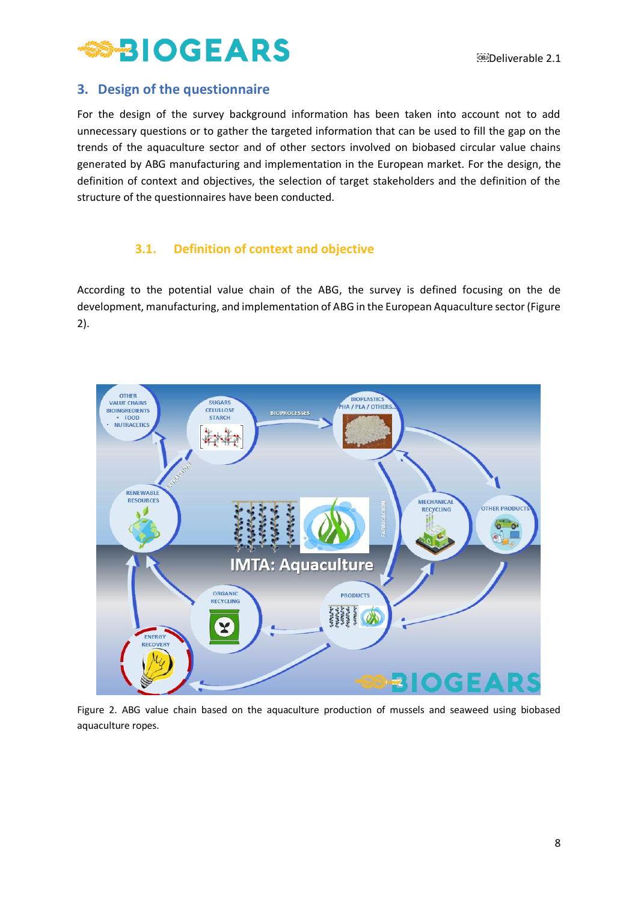## <span id="page-8-0"></span>**3. Design of the questionnaire**

For the design of the survey background information has been taken into account not to add unnecessary questions or to gather the targeted information that can be used to fill the gap on the trends of the aquaculture sector and of other sectors involved on biobased circular value chains generated by ABG manufacturing and implementation in the European market. For the design, the definition of context and objectives, the selection of target stakeholders and the definition of the structure of the questionnaires have been conducted.

### **3.1. Definition of context and objective**

<span id="page-8-1"></span>According to the potential value chain of the ABG, the survey is defined focusing on the de development, manufacturing, and implementation of ABG in the European Aquaculture sector (Figure 2).



Figure 2. ABG value chain based on the aquaculture production of mussels and seaweed using biobased aquaculture ropes.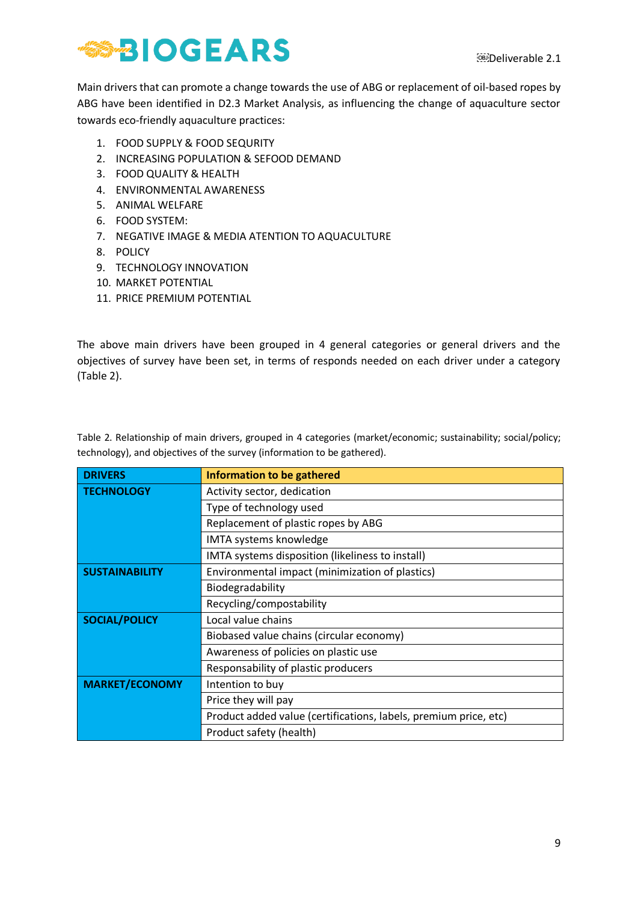Main drivers that can promote a change towards the use of ABG or replacement of oil-based ropes by ABG have been identified in D2.3 Market Analysis, as influencing the change of aquaculture sector towards eco-friendly aquaculture practices:

- 1. FOOD SUPPLY & FOOD SEQURITY
- 2. INCREASING POPULATION & SEFOOD DEMAND
- 3. FOOD QUALITY & HEALTH
- 4. ENVIRONMENTAL AWARENESS
- 5. ANIMAL WELFARE
- 6. FOOD SYSTEM:
- 7. NEGATIVE IMAGE & MEDIA ATENTION TO AQUACULTURE
- 8. POLICY
- 9. TECHNOLOGY INNOVATION
- 10. MARKET POTENTIAL
- 11. PRICE PREMIUM POTENTIAL

The above main drivers have been grouped in 4 general categories or general drivers and the objectives of survey have been set, in terms of responds needed on each driver under a category (Table 2).

Table 2. Relationship of main drivers, grouped in 4 categories (market/economic; sustainability; social/policy; technology), and objectives of the survey (information to be gathered).

| <b>DRIVERS</b>        | <b>Information to be gathered</b>                                |
|-----------------------|------------------------------------------------------------------|
| <b>TECHNOLOGY</b>     | Activity sector, dedication                                      |
|                       | Type of technology used                                          |
|                       | Replacement of plastic ropes by ABG                              |
|                       | IMTA systems knowledge                                           |
|                       | IMTA systems disposition (likeliness to install)                 |
| <b>SUSTAINABILITY</b> | Environmental impact (minimization of plastics)                  |
|                       | Biodegradability                                                 |
|                       | Recycling/compostability                                         |
| <b>SOCIAL/POLICY</b>  | Local value chains                                               |
|                       | Biobased value chains (circular economy)                         |
|                       | Awareness of policies on plastic use                             |
|                       | Responsability of plastic producers                              |
| <b>MARKET/ECONOMY</b> | Intention to buy                                                 |
|                       | Price they will pay                                              |
|                       | Product added value (certifications, labels, premium price, etc) |
|                       | Product safety (health)                                          |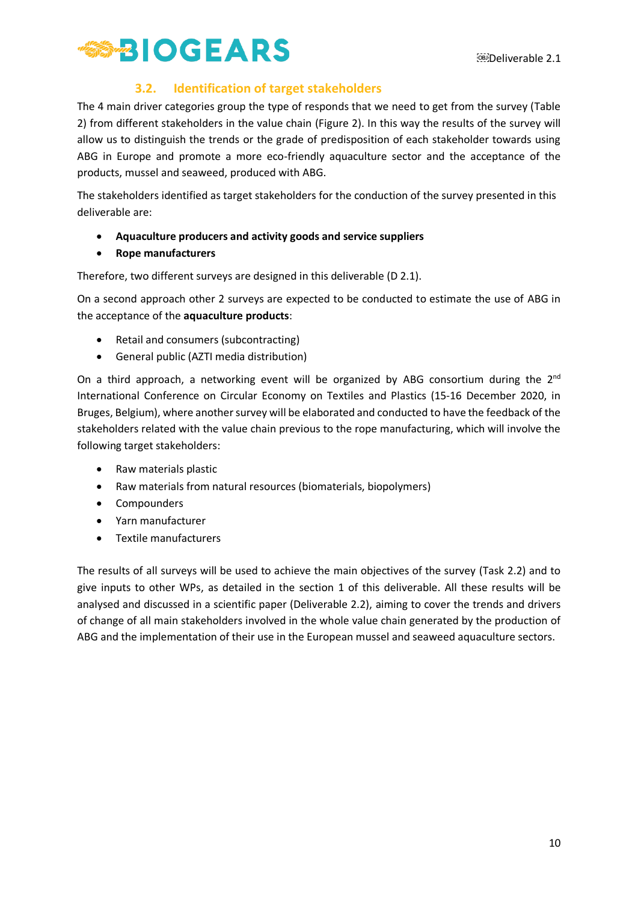

### **3.2. Identification of target stakeholders**

<span id="page-10-0"></span>The 4 main driver categories group the type of responds that we need to get from the survey (Table 2) from different stakeholders in the value chain (Figure 2). In this way the results of the survey will allow us to distinguish the trends or the grade of predisposition of each stakeholder towards using ABG in Europe and promote a more eco-friendly aquaculture sector and the acceptance of the products, mussel and seaweed, produced with ABG.

The stakeholders identified as target stakeholders for the conduction of the survey presented in this deliverable are:

- **Aquaculture producers and activity goods and service suppliers**
- **Rope manufacturers**

Therefore, two different surveys are designed in this deliverable (D 2.1).

On a second approach other 2 surveys are expected to be conducted to estimate the use of ABG in the acceptance of the **aquaculture products**:

- Retail and consumers (subcontracting)
- General public (AZTI media distribution)

On a third approach, a networking event will be organized by ABG consortium during the  $2^{nd}$ International Conference on Circular Economy on Textiles and Plastics (15-16 December 2020, in Bruges, Belgium), where another survey will be elaborated and conducted to have the feedback of the stakeholders related with the value chain previous to the rope manufacturing, which will involve the following target stakeholders:

- Raw materials plastic
- Raw materials from natural resources (biomaterials, biopolymers)
- Compounders
- Yarn manufacturer
- Textile manufacturers

The results of all surveys will be used to achieve the main objectives of the survey (Task 2.2) and to give inputs to other WPs, as detailed in the section 1 of this deliverable. All these results will be analysed and discussed in a scientific paper (Deliverable 2.2), aiming to cover the trends and drivers of change of all main stakeholders involved in the whole value chain generated by the production of ABG and the implementation of their use in the European mussel and seaweed aquaculture sectors.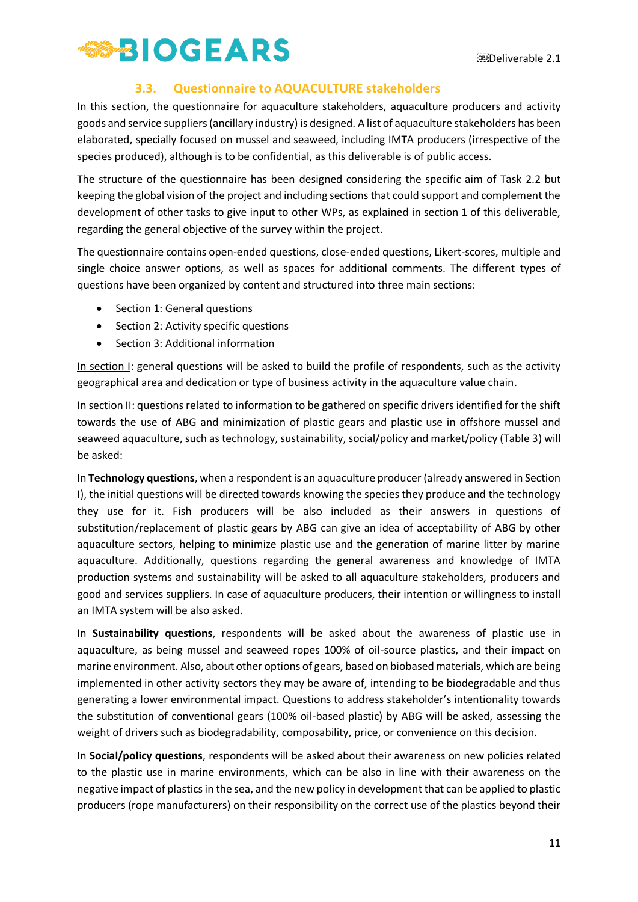

### **3.3. Questionnaire to AQUACULTURE stakeholders**

<span id="page-11-0"></span>In this section, the questionnaire for aquaculture stakeholders, aquaculture producers and activity goods and service suppliers(ancillary industry) is designed. A list of aquaculture stakeholders has been elaborated, specially focused on mussel and seaweed, including IMTA producers (irrespective of the species produced), although is to be confidential, as this deliverable is of public access.

The structure of the questionnaire has been designed considering the specific aim of Task 2.2 but keeping the global vision of the project and including sections that could support and complement the development of other tasks to give input to other WPs, as explained in section 1 of this deliverable, regarding the general objective of the survey within the project.

The questionnaire contains open-ended questions, close-ended questions, Likert-scores, multiple and single choice answer options, as well as spaces for additional comments. The different types of questions have been organized by content and structured into three main sections:

- Section 1: General questions
- Section 2: Activity specific questions
- Section 3: Additional information

In section I: general questions will be asked to build the profile of respondents, such as the activity geographical area and dedication or type of business activity in the aquaculture value chain.

In section II: questions related to information to be gathered on specific drivers identified for the shift towards the use of ABG and minimization of plastic gears and plastic use in offshore mussel and seaweed aquaculture, such as technology, sustainability, social/policy and market/policy (Table 3) will be asked:

In **Technology questions**, when a respondent is an aquaculture producer (already answered in Section I), the initial questions will be directed towards knowing the species they produce and the technology they use for it. Fish producers will be also included as their answers in questions of substitution/replacement of plastic gears by ABG can give an idea of acceptability of ABG by other aquaculture sectors, helping to minimize plastic use and the generation of marine litter by marine aquaculture. Additionally, questions regarding the general awareness and knowledge of IMTA production systems and sustainability will be asked to all aquaculture stakeholders, producers and good and services suppliers. In case of aquaculture producers, their intention or willingness to install an IMTA system will be also asked.

In **Sustainability questions**, respondents will be asked about the awareness of plastic use in aquaculture, as being mussel and seaweed ropes 100% of oil-source plastics, and their impact on marine environment. Also, about other options of gears, based on biobased materials, which are being implemented in other activity sectors they may be aware of, intending to be biodegradable and thus generating a lower environmental impact. Questions to address stakeholder's intentionality towards the substitution of conventional gears (100% oil-based plastic) by ABG will be asked, assessing the weight of drivers such as biodegradability, composability, price, or convenience on this decision.

In **Social/policy questions**, respondents will be asked about their awareness on new policies related to the plastic use in marine environments, which can be also in line with their awareness on the negative impact of plastics in the sea, and the new policy in development that can be applied to plastic producers (rope manufacturers) on their responsibility on the correct use of the plastics beyond their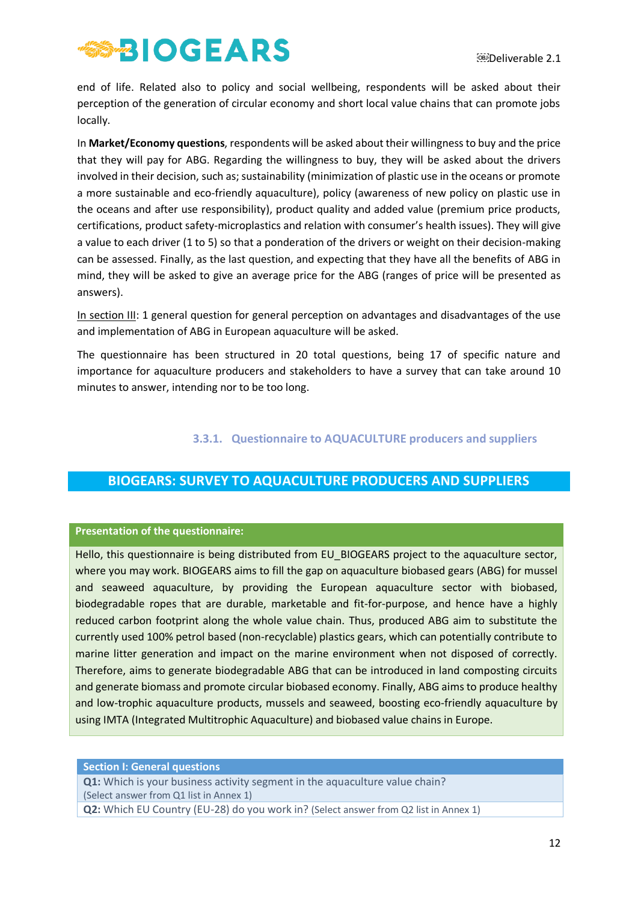end of life. Related also to policy and social wellbeing, respondents will be asked about their perception of the generation of circular economy and short local value chains that can promote jobs locally.

In **Market/Economy questions**, respondents will be asked about their willingness to buy and the price that they will pay for ABG. Regarding the willingness to buy, they will be asked about the drivers involved in their decision, such as; sustainability (minimization of plastic use in the oceans or promote a more sustainable and eco-friendly aquaculture), policy (awareness of new policy on plastic use in the oceans and after use responsibility), product quality and added value (premium price products, certifications, product safety-microplastics and relation with consumer's health issues). They will give a value to each driver (1 to 5) so that a ponderation of the drivers or weight on their decision-making can be assessed. Finally, as the last question, and expecting that they have all the benefits of ABG in mind, they will be asked to give an average price for the ABG (ranges of price will be presented as answers).

In section III: 1 general question for general perception on advantages and disadvantages of the use and implementation of ABG in European aquaculture will be asked.

The questionnaire has been structured in 20 total questions, being 17 of specific nature and importance for aquaculture producers and stakeholders to have a survey that can take around 10 minutes to answer, intending nor to be too long.

### **3.3.1. Questionnaire to AQUACULTURE producers and suppliers**

## <span id="page-12-0"></span>**BIOGEARS: SURVEY TO AQUACULTURE PRODUCERS AND SUPPLIERS**

#### **Presentation of the questionnaire:**

Hello, this questionnaire is being distributed from EU\_BIOGEARS project to the aquaculture sector, where you may work. BIOGEARS aims to fill the gap on aquaculture biobased gears (ABG) for mussel and seaweed aquaculture, by providing the European aquaculture sector with biobased, biodegradable ropes that are durable, marketable and fit-for-purpose, and hence have a highly reduced carbon footprint along the whole value chain. Thus, produced ABG aim to substitute the currently used 100% petrol based (non-recyclable) plastics gears, which can potentially contribute to marine litter generation and impact on the marine environment when not disposed of correctly. Therefore, aims to generate biodegradable ABG that can be introduced in land composting circuits and generate biomass and promote circular biobased economy. Finally, ABG aims to produce healthy and low-trophic aquaculture products, mussels and seaweed, boosting eco-friendly aquaculture by using IMTA (Integrated Multitrophic Aquaculture) and biobased value chains in Europe.

#### **Section I: General questions**

**Q1:** Which is your business activity segment in the aquaculture value chain? (Select answer from Q1 list in Annex 1)

**Q2:** Which EU Country (EU-28) do you work in? (Select answer from Q2 list in Annex 1)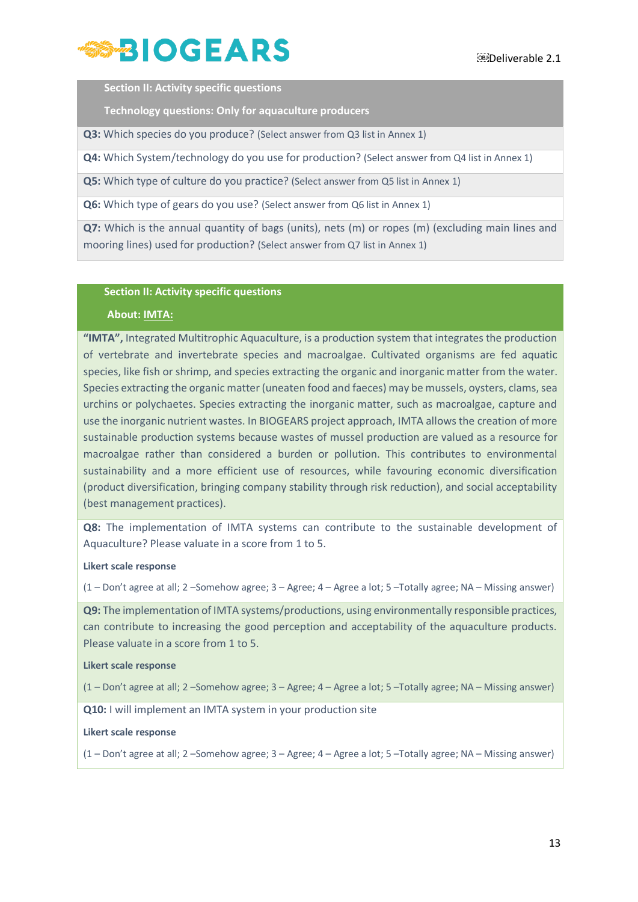

**Section II: Activity specific questions**

**Technology questions: Only for aquaculture producers**

**Q3:** Which species do you produce? (Select answer from Q3 list in Annex 1)

**Q4:** Which System/technology do you use for production? (Select answer from Q4 list in Annex 1)

**Q5:** Which type of culture do you practice? (Select answer from Q5 list in Annex 1)

**Q6:** Which type of gears do you use? (Select answer from Q6 list in Annex 1)

**Q7:** Which is the annual quantity of bags (units), nets (m) or ropes (m) (excluding main lines and mooring lines) used for production? (Select answer from Q7 list in Annex 1)

#### **Section II: Activity specific questions**

#### **About: IMTA:**

**"IMTA",** Integrated Multitrophic Aquaculture, is a production system that integrates the production of vertebrate and invertebrate species and macroalgae. Cultivated organisms are fed aquatic species, like fish or shrimp, and species extracting the organic and inorganic matter from the water. Species extracting the organic matter (uneaten food and faeces) may be mussels, oysters, clams, sea urchins or polychaetes. Species extracting the inorganic matter, such as macroalgae, capture and use the inorganic nutrient wastes. In BIOGEARS project approach, IMTA allows the creation of more sustainable production systems because wastes of mussel production are valued as a resource for macroalgae rather than considered a burden or pollution. This contributes to environmental sustainability and a more efficient use of resources, while favouring economic diversification (product diversification, bringing company stability through risk reduction), and social acceptability (best management practices).

**Q8:** The implementation of IMTA systems can contribute to the sustainable development of Aquaculture? Please valuate in a score from 1 to 5.

#### **Likert scale response**

(1 – Don't agree at all; 2 –Somehow agree; 3 – Agree; 4 – Agree a lot; 5 –Totally agree; NA – Missing answer)

**Q9:** The implementation of IMTA systems/productions, using environmentally responsible practices, can contribute to increasing the good perception and acceptability of the aquaculture products. Please valuate in a score from 1 to 5.

#### **Likert scale response**

(1 – Don't agree at all; 2 –Somehow agree; 3 – Agree; 4 – Agree a lot; 5 –Totally agree; NA – Missing answer)

**Q10:** I will implement an IMTA system in your production site

**Likert scale response**

(1 – Don't agree at all; 2 –Somehow agree; 3 – Agree; 4 – Agree a lot; 5 –Totally agree; NA – Missing answer)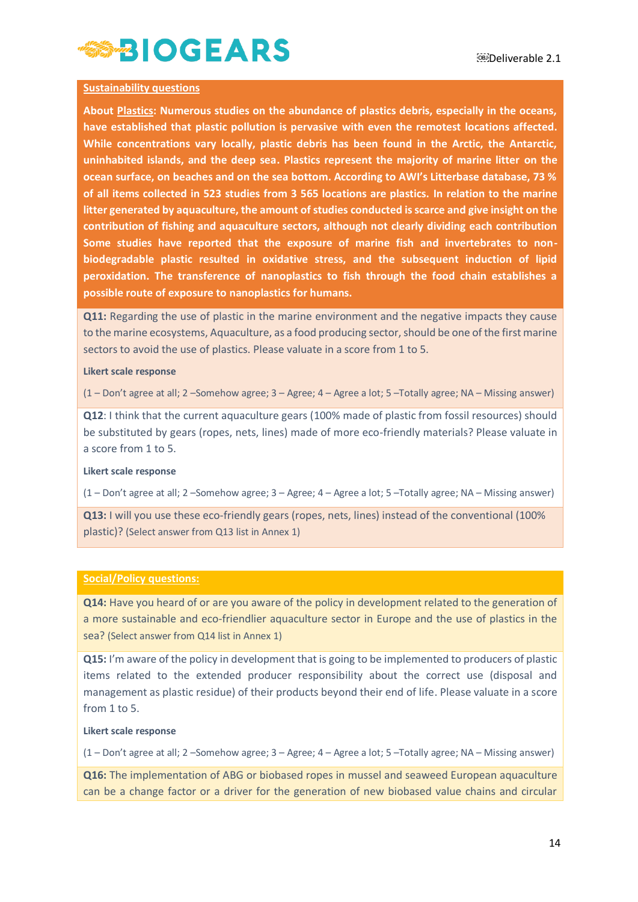#### **Sustainability questions**

**About Plastics: Numerous studies on the abundance of plastics debris, especially in the oceans, have established that plastic pollution is pervasive with even the remotest locations affected. While concentrations vary locally, plastic debris has been found in the Arctic, the Antarctic, uninhabited islands, and the deep sea. Plastics represent the majority of marine litter on the ocean surface, on beaches and on the sea bottom. According to AWI's Litterbase database, 73 % of all items collected in 523 studies from 3 565 locations are plastics. In relation to the marine litter generated by aquaculture, the amount of studies conducted is scarce and give insight on the contribution of fishing and aquaculture sectors, although not clearly dividing each contribution Some studies have reported that the exposure of marine fish and invertebrates to nonbiodegradable plastic resulted in oxidative stress, and the subsequent induction of lipid peroxidation. The transference of nanoplastics to fish through the food chain establishes a possible route of exposure to nanoplastics for humans.**

**Q11:** Regarding the use of plastic in the marine environment and the negative impacts they cause to the marine ecosystems, Aquaculture, as a food producing sector, should be one of the first marine sectors to avoid the use of plastics. Please valuate in a score from 1 to 5.

#### **Likert scale response**

(1 – Don't agree at all; 2 –Somehow agree; 3 – Agree; 4 – Agree a lot; 5 –Totally agree; NA – Missing answer)

**Q12**: I think that the current aquaculture gears (100% made of plastic from fossil resources) should be substituted by gears (ropes, nets, lines) made of more eco-friendly materials? Please valuate in a score from 1 to 5.

#### **Likert scale response**

(1 – Don't agree at all; 2 –Somehow agree; 3 – Agree; 4 – Agree a lot; 5 –Totally agree; NA – Missing answer)

**Q13:** I will you use these eco-friendly gears (ropes, nets, lines) instead of the conventional (100% plastic)? (Select answer from Q13 list in Annex 1)

#### **Social/Policy questions:**

**Q14:** Have you heard of or are you aware of the policy in development related to the generation of a more sustainable and eco-friendlier aquaculture sector in Europe and the use of plastics in the sea? (Select answer from Q14 list in Annex 1)

**Q15:** I'm aware of the policy in development that is going to be implemented to producers of plastic items related to the extended producer responsibility about the correct use (disposal and management as plastic residue) of their products beyond their end of life. Please valuate in a score from 1 to 5.

#### **Likert scale response**

(1 – Don't agree at all; 2 –Somehow agree; 3 – Agree; 4 – Agree a lot; 5 –Totally agree; NA – Missing answer)

**Q16:** The implementation of ABG or biobased ropes in mussel and seaweed European aquaculture can be a change factor or a driver for the generation of new biobased value chains and circular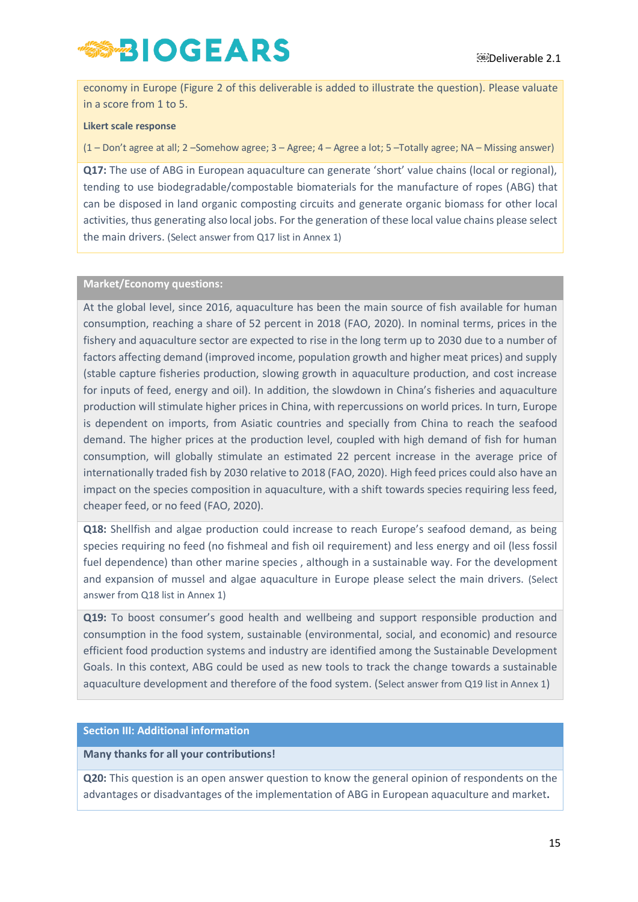economy in Europe (Figure 2 of this deliverable is added to illustrate the question). Please valuate in a score from 1 to 5.

#### **Likert scale response**

(1 – Don't agree at all; 2 –Somehow agree; 3 – Agree; 4 – Agree a lot; 5 –Totally agree; NA – Missing answer)

**Q17:** The use of ABG in European aquaculture can generate 'short' value chains (local or regional), tending to use biodegradable/compostable biomaterials for the manufacture of ropes (ABG) that can be disposed in land organic composting circuits and generate organic biomass for other local activities, thus generating also local jobs. For the generation of these local value chains please select the main drivers. (Select answer from Q17 list in Annex 1)

#### **Market/Economy questions:**

At the global level, since 2016, aquaculture has been the main source of fish available for human consumption, reaching a share of 52 percent in 2018 (FAO, 2020). In nominal terms, prices in the fishery and aquaculture sector are expected to rise in the long term up to 2030 due to a number of factors affecting demand (improved income, population growth and higher meat prices) and supply (stable capture fisheries production, slowing growth in aquaculture production, and cost increase for inputs of feed, energy and oil). In addition, the slowdown in China's fisheries and aquaculture production will stimulate higher prices in China, with repercussions on world prices. In turn, Europe is dependent on imports, from Asiatic countries and specially from China to reach the seafood demand. The higher prices at the production level, coupled with high demand of fish for human consumption, will globally stimulate an estimated 22 percent increase in the average price of internationally traded fish by 2030 relative to 2018 (FAO, 2020). High feed prices could also have an impact on the species composition in aquaculture, with a shift towards species requiring less feed, cheaper feed, or no feed (FAO, 2020).

**Q18:** Shellfish and algae production could increase to reach Europe's seafood demand, as being species requiring no feed (no fishmeal and fish oil requirement) and less energy and oil (less fossil fuel dependence) than other marine species , although in a sustainable way. For the development and expansion of mussel and algae aquaculture in Europe please select the main drivers. (Select answer from Q18 list in Annex 1)

**Q19:** To boost consumer's good health and wellbeing and support responsible production and consumption in the food system, sustainable (environmental, social, and economic) and resource efficient food production systems and industry are identified among the Sustainable Development Goals. In this context, ABG could be used as new tools to track the change towards a sustainable aquaculture development and therefore of the food system. (Select answer from Q19 list in Annex 1)

#### **Section III: Additional information**

#### **Many thanks for all your contributions!**

**Q20:** This question is an open answer question to know the general opinion of respondents on the advantages or disadvantages of the implementation of ABG in European aquaculture and market**.**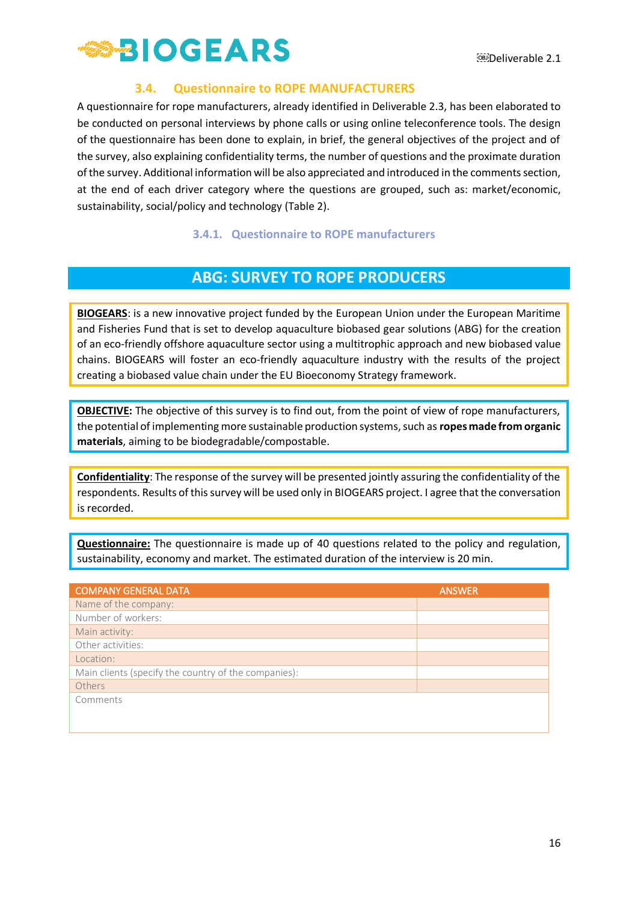

### **3.4. Questionnaire to ROPE MANUFACTURERS**

<span id="page-16-0"></span>A questionnaire for rope manufacturers, already identified in Deliverable 2.3, has been elaborated to be conducted on personal interviews by phone calls or using online teleconference tools. The design of the questionnaire has been done to explain, in brief, the general objectives of the project and of the survey, also explaining confidentiality terms, the number of questions and the proximate duration of the survey. Additional information will be also appreciated and introduced in the comments section, at the end of each driver category where the questions are grouped, such as: market/economic, sustainability, social/policy and technology (Table 2).

#### **3.4.1. Questionnaire to ROPE manufacturers**

## **ABG: SURVEY TO ROPE PRODUCERS**

<span id="page-16-1"></span>**BIOGEARS**: is a new innovative project funded by the European Union under the European Maritime and Fisheries Fund that is set to develop aquaculture biobased gear solutions (ABG) for the creation of an eco-friendly offshore aquaculture sector using a multitrophic approach and new biobased value chains. BIOGEARS will foster an eco-friendly aquaculture industry with the results of the project creating a biobased value chain under the EU Bioeconomy Strategy framework.

**OBJECTIVE:** The objective of this survey is to find out, from the point of view of rope manufacturers, the potential of implementing more sustainable production systems, such as **ropes made from organic materials**, aiming to be biodegradable/compostable.

**Confidentiality**: The response of the survey will be presented jointly assuring the confidentiality of the respondents. Results of this survey will be used only in BIOGEARS project. I agree that the conversation is recorded.

**Questionnaire:** The questionnaire is made up of 40 questions related to the policy and regulation, sustainability, economy and market. The estimated duration of the interview is 20 min.

| <b>COMPANY GENERAL DATA</b>                          | <b>ANSWER</b> |
|------------------------------------------------------|---------------|
| Name of the company:                                 |               |
| Number of workers:                                   |               |
| Main activity:                                       |               |
| Other activities:                                    |               |
| Location:                                            |               |
| Main clients (specify the country of the companies): |               |
| Others                                               |               |
| Comments                                             |               |
|                                                      |               |
|                                                      |               |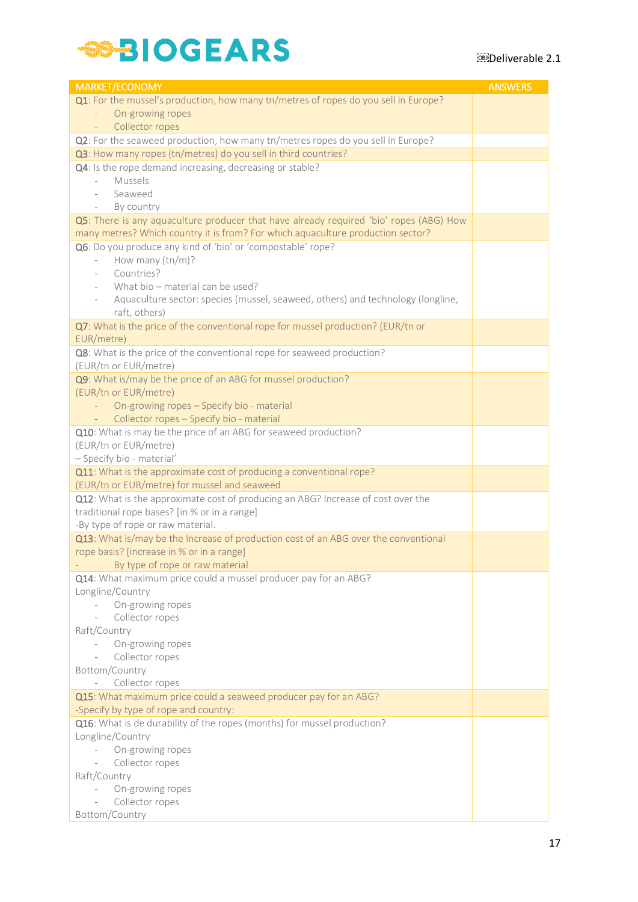# **SS-BIOGEARS**

| <b>MARKET/ECONOMY</b>                                                                                                                                                     | <b>ANSWERS</b> |
|---------------------------------------------------------------------------------------------------------------------------------------------------------------------------|----------------|
| Q1: For the mussel's production, how many tn/metres of ropes do you sell in Europe?                                                                                       |                |
| On-growing ropes                                                                                                                                                          |                |
| Collector ropes                                                                                                                                                           |                |
| Q2: For the seaweed production, how many tn/metres ropes do you sell in Europe?                                                                                           |                |
| Q3: How many ropes (tn/metres) do you sell in third countries?                                                                                                            |                |
| Q4: Is the rope demand increasing, decreasing or stable?                                                                                                                  |                |
| Mussels                                                                                                                                                                   |                |
| Seaweed                                                                                                                                                                   |                |
| By country<br>$\overline{\phantom{a}}$                                                                                                                                    |                |
| Q5: There is any aquaculture producer that have already required 'bio' ropes (ABG) How<br>many metres? Which country it is from? For which aquaculture production sector? |                |
| Q6: Do you produce any kind of 'bio' or 'compostable' rope?                                                                                                               |                |
| How many (tn/m)?<br>$\overline{\phantom{a}}$                                                                                                                              |                |
| Countries?                                                                                                                                                                |                |
| What bio – material can be used?                                                                                                                                          |                |
| Aquaculture sector: species (mussel, seaweed, others) and technology (longline,                                                                                           |                |
| raft, others)                                                                                                                                                             |                |
| Q7: What is the price of the conventional rope for mussel production? (EUR/tn or                                                                                          |                |
| EUR/metre)                                                                                                                                                                |                |
| Q8: What is the price of the conventional rope for seaweed production?                                                                                                    |                |
| (EUR/tn or EUR/metre)                                                                                                                                                     |                |
| Q9: What is/may be the price of an ABG for mussel production?                                                                                                             |                |
| (EUR/tn or EUR/metre)                                                                                                                                                     |                |
| On-growing ropes - Specify bio - material                                                                                                                                 |                |
| Collector ropes - Specify bio - material<br>$\sim$                                                                                                                        |                |
| Q10: What is may be the price of an ABG for seaweed production?                                                                                                           |                |
| (EUR/tn or EUR/metre)                                                                                                                                                     |                |
| - Specify bio - material'<br>Q11: What is the approximate cost of producing a conventional rope?                                                                          |                |
| (EUR/tn or EUR/metre) for mussel and seaweed                                                                                                                              |                |
| Q12: What is the approximate cost of producing an ABG? Increase of cost over the                                                                                          |                |
| traditional rope bases? [in % or in a range]                                                                                                                              |                |
| -By type of rope or raw material.                                                                                                                                         |                |
| Q13: What is/may be the Increase of production cost of an ABG over the conventional                                                                                       |                |
| rope basis? [increase in % or in a range]                                                                                                                                 |                |
| By type of rope or raw material                                                                                                                                           |                |
| Q14: What maximum price could a mussel producer pay for an ABG?                                                                                                           |                |
| Longline/Country                                                                                                                                                          |                |
| On-growing ropes                                                                                                                                                          |                |
| Collector ropes                                                                                                                                                           |                |
| Raft/Country                                                                                                                                                              |                |
| On-growing ropes<br>$\overline{\phantom{a}}$                                                                                                                              |                |
| Collector ropes                                                                                                                                                           |                |
| Bottom/Country<br>Collector ropes                                                                                                                                         |                |
| Q15: What maximum price could a seaweed producer pay for an ABG?                                                                                                          |                |
| -Specify by type of rope and country:                                                                                                                                     |                |
| Q16: What is de durability of the ropes (months) for mussel production?                                                                                                   |                |
| Longline/Country                                                                                                                                                          |                |
| On-growing ropes                                                                                                                                                          |                |
| Collector ropes                                                                                                                                                           |                |
| Raft/Country                                                                                                                                                              |                |
| On-growing ropes                                                                                                                                                          |                |
| Collector ropes                                                                                                                                                           |                |
| Bottom/Country                                                                                                                                                            |                |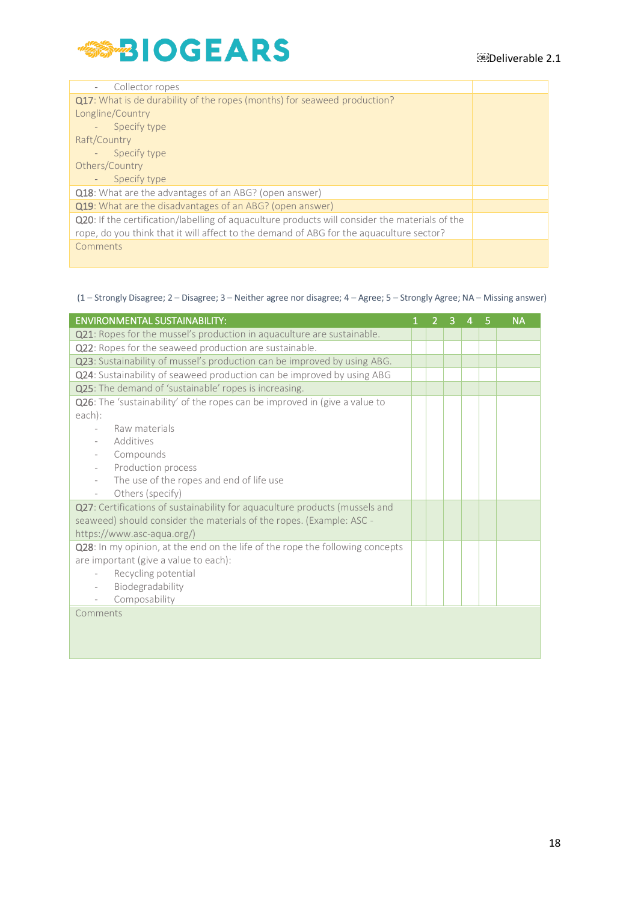

| Collector ropes                                                                                |  |
|------------------------------------------------------------------------------------------------|--|
| <b>Q17</b> : What is de durability of the ropes (months) for seaweed production?               |  |
| Longline/Country                                                                               |  |
| Specify type                                                                                   |  |
| Raft/Country                                                                                   |  |
| - Specify type                                                                                 |  |
| Others/Country                                                                                 |  |
| Specify type                                                                                   |  |
| Q18: What are the advantages of an ABG? (open answer)                                          |  |
| Q19: What are the disadvantages of an ABG? (open answer)                                       |  |
| Q20: If the certification/labelling of aquaculture products will consider the materials of the |  |
| rope, do you think that it will affect to the demand of ABG for the aquaculture sector?        |  |
| Comments                                                                                       |  |
|                                                                                                |  |

#### (1 – Strongly Disagree; 2 – Disagree; 3 – Neither agree nor disagree; 4 – Agree; 5 – Strongly Agree; NA – Missing answer)

| <b>ENVIRONMENTAL SUSTAINABILITY:</b>                                          | $\overline{2}$ | 3 | 4 | 5 | <b>NA</b> |
|-------------------------------------------------------------------------------|----------------|---|---|---|-----------|
| Q21: Ropes for the mussel's production in aquaculture are sustainable.        |                |   |   |   |           |
| Q22: Ropes for the seaweed production are sustainable.                        |                |   |   |   |           |
| Q23: Sustainability of mussel's production can be improved by using ABG.      |                |   |   |   |           |
| Q24: Sustainability of seaweed production can be improved by using ABG        |                |   |   |   |           |
| Q25: The demand of 'sustainable' ropes is increasing.                         |                |   |   |   |           |
| Q26: The 'sustainability' of the ropes can be improved in (give a value to    |                |   |   |   |           |
| each):                                                                        |                |   |   |   |           |
| Raw materials                                                                 |                |   |   |   |           |
| Additives                                                                     |                |   |   |   |           |
| Compounds                                                                     |                |   |   |   |           |
| Production process                                                            |                |   |   |   |           |
| The use of the ropes and end of life use                                      |                |   |   |   |           |
| Others (specify)<br>$\overline{\phantom{a}}$                                  |                |   |   |   |           |
| Q27: Certifications of sustainability for aquaculture products (mussels and   |                |   |   |   |           |
| seaweed) should consider the materials of the ropes. (Example: ASC -          |                |   |   |   |           |
| https://www.asc-aqua.org/)                                                    |                |   |   |   |           |
| Q28: In my opinion, at the end on the life of the rope the following concepts |                |   |   |   |           |
| are important (give a value to each):                                         |                |   |   |   |           |
| Recycling potential                                                           |                |   |   |   |           |
| Biodegradability                                                              |                |   |   |   |           |
| Composability                                                                 |                |   |   |   |           |
| Comments                                                                      |                |   |   |   |           |
|                                                                               |                |   |   |   |           |
|                                                                               |                |   |   |   |           |
|                                                                               |                |   |   |   |           |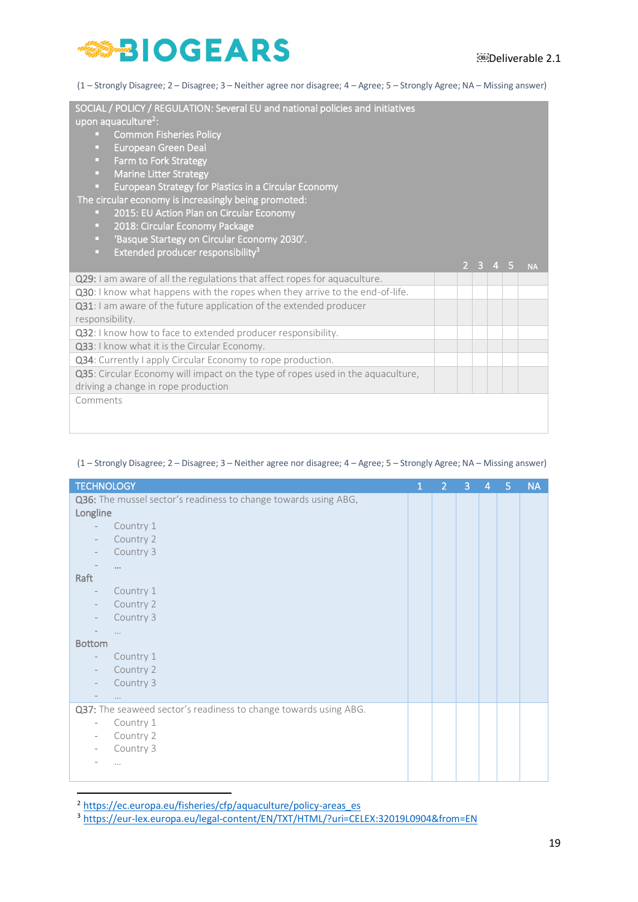(1 – Strongly Disagree; 2 – Disagree; 3 – Neither agree nor disagree; 4 – Agree; 5 – Strongly Agree; NA – Missing answer)

| SOCIAL / POLICY / REGULATION: Several EU and national policies and initiatives<br>upon aquaculture <sup>2</sup> :<br><b>Common Fisheries Policy</b><br>œ<br><b>European Green Deal</b><br>o.<br>Farm to Fork Strategy<br>o.<br>o.<br><b>Marine Litter Strategy</b><br>European Strategy for Plastics in a Circular Economy<br>o,<br>The circular economy is increasingly being promoted:<br>2015: EU Action Plan on Circular Economy<br>o.<br>2018: Circular Economy Package<br>o.<br>'Basque Startegy on Circular Economy 2030'.<br>o.<br>Extended producer responsibility <sup>3</sup><br>o. |  |                  |                |           |
|------------------------------------------------------------------------------------------------------------------------------------------------------------------------------------------------------------------------------------------------------------------------------------------------------------------------------------------------------------------------------------------------------------------------------------------------------------------------------------------------------------------------------------------------------------------------------------------------|--|------------------|----------------|-----------|
|                                                                                                                                                                                                                                                                                                                                                                                                                                                                                                                                                                                                |  | $2 \overline{3}$ | 4 <sub>5</sub> | <b>NA</b> |
| Q29: I am aware of all the regulations that affect ropes for aquaculture.                                                                                                                                                                                                                                                                                                                                                                                                                                                                                                                      |  |                  |                |           |
| Q30: I know what happens with the ropes when they arrive to the end-of-life.                                                                                                                                                                                                                                                                                                                                                                                                                                                                                                                   |  |                  |                |           |
| Q31: I am aware of the future application of the extended producer                                                                                                                                                                                                                                                                                                                                                                                                                                                                                                                             |  |                  |                |           |
| responsibility.                                                                                                                                                                                                                                                                                                                                                                                                                                                                                                                                                                                |  |                  |                |           |
| Q32: I know how to face to extended producer responsibility.                                                                                                                                                                                                                                                                                                                                                                                                                                                                                                                                   |  |                  |                |           |
| Q33: I know what it is the Circular Economy.                                                                                                                                                                                                                                                                                                                                                                                                                                                                                                                                                   |  |                  |                |           |
| Q34: Currently I apply Circular Economy to rope production.                                                                                                                                                                                                                                                                                                                                                                                                                                                                                                                                    |  |                  |                |           |
| Q35: Circular Economy will impact on the type of ropes used in the aquaculture,                                                                                                                                                                                                                                                                                                                                                                                                                                                                                                                |  |                  |                |           |
| driving a change in rope production                                                                                                                                                                                                                                                                                                                                                                                                                                                                                                                                                            |  |                  |                |           |
| Comments                                                                                                                                                                                                                                                                                                                                                                                                                                                                                                                                                                                       |  |                  |                |           |

#### (1 – Strongly Disagree; 2 – Disagree; 3 – Neither agree nor disagree; 4 – Agree; 5 – Strongly Agree; NA – Missing answer)

| <b>TECHNOLOGY</b>                                                | 1 | $\overline{2}$ | 3 | 4 | 5 | <b>NA</b> |
|------------------------------------------------------------------|---|----------------|---|---|---|-----------|
| Q36: The mussel sector's readiness to change towards using ABG.  |   |                |   |   |   |           |
| Longline                                                         |   |                |   |   |   |           |
| Country 1                                                        |   |                |   |   |   |           |
| Country 2                                                        |   |                |   |   |   |           |
| Country 3                                                        |   |                |   |   |   |           |
| $\cdots$                                                         |   |                |   |   |   |           |
| Raft                                                             |   |                |   |   |   |           |
| Country 1                                                        |   |                |   |   |   |           |
| Country 2                                                        |   |                |   |   |   |           |
| Country 3                                                        |   |                |   |   |   |           |
| $\cdots$                                                         |   |                |   |   |   |           |
| <b>Bottom</b>                                                    |   |                |   |   |   |           |
| Country 1<br>$\overline{\phantom{a}}$                            |   |                |   |   |   |           |
| Country 2                                                        |   |                |   |   |   |           |
| Country 3                                                        |   |                |   |   |   |           |
| $\cdots$                                                         |   |                |   |   |   |           |
| Q37: The seaweed sector's readiness to change towards using ABG. |   |                |   |   |   |           |
| Country 1<br>$\bar{ }$                                           |   |                |   |   |   |           |
| Country 2<br>$\bar{ }$                                           |   |                |   |   |   |           |
| Country 3                                                        |   |                |   |   |   |           |
| $\cdots$                                                         |   |                |   |   |   |           |
|                                                                  |   |                |   |   |   |           |

<sup>2</sup> [https://ec.europa.eu/fisheries/cfp/aquaculture/policy-areas\\_es](https://ec.europa.eu/fisheries/cfp/aquaculture/policy-areas_es)

<sup>3</sup> <https://eur-lex.europa.eu/legal-content/EN/TXT/HTML/?uri=CELEX:32019L0904&from=EN>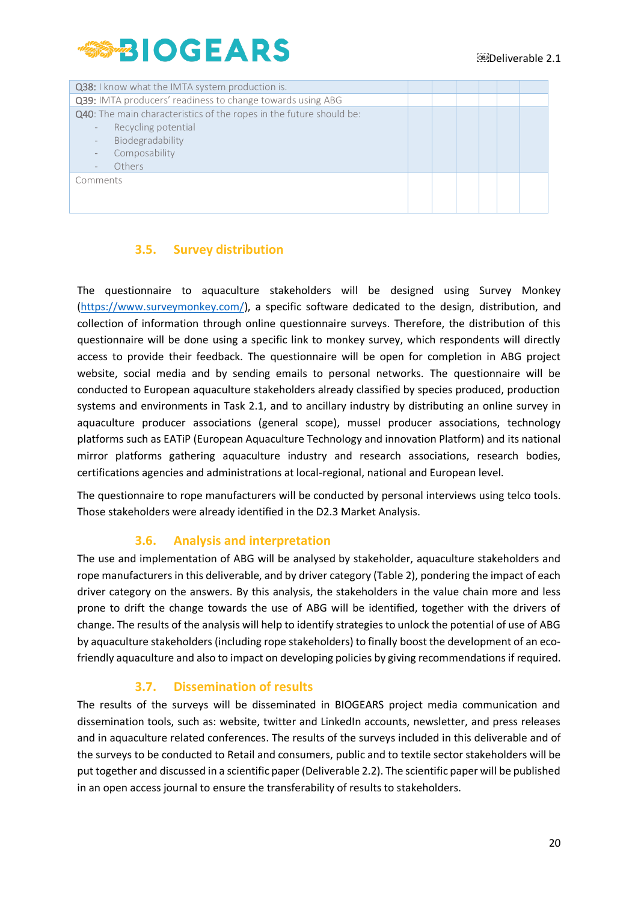

| Q38: I know what the IMTA system production is.                     |  |  |  |  |
|---------------------------------------------------------------------|--|--|--|--|
| Q39: IMTA producers' readiness to change towards using ABG          |  |  |  |  |
| Q40: The main characteristics of the ropes in the future should be: |  |  |  |  |
| Recycling potential                                                 |  |  |  |  |
| Biodegradability                                                    |  |  |  |  |
| Composability                                                       |  |  |  |  |
| Others                                                              |  |  |  |  |
| Comments                                                            |  |  |  |  |
|                                                                     |  |  |  |  |
|                                                                     |  |  |  |  |

### **3.5. Survey distribution**

<span id="page-20-0"></span>The questionnaire to aquaculture stakeholders will be designed using Survey Monkey [\(https://www.surveymonkey.com/\)](https://www.surveymonkey.com/), a specific software dedicated to the design, distribution, and collection of information through online questionnaire surveys. Therefore, the distribution of this questionnaire will be done using a specific link to monkey survey, which respondents will directly access to provide their feedback. The questionnaire will be open for completion in ABG project website, social media and by sending emails to personal networks. The questionnaire will be conducted to European aquaculture stakeholders already classified by species produced, production systems and environments in Task 2.1, and to ancillary industry by distributing an online survey in aquaculture producer associations (general scope), mussel producer associations, technology platforms such as EATiP (European Aquaculture Technology and innovation Platform) and its national mirror platforms gathering aquaculture industry and research associations, research bodies, certifications agencies and administrations at local-regional, national and European level.

The questionnaire to rope manufacturers will be conducted by personal interviews using telco tools. Those stakeholders were already identified in the D2.3 Market Analysis.

#### **3.6. Analysis and interpretation**

<span id="page-20-1"></span>The use and implementation of ABG will be analysed by stakeholder, aquaculture stakeholders and rope manufacturers in this deliverable, and by driver category (Table 2), pondering the impact of each driver category on the answers. By this analysis, the stakeholders in the value chain more and less prone to drift the change towards the use of ABG will be identified, together with the drivers of change. The results of the analysis will help to identify strategies to unlock the potential of use of ABG by aquaculture stakeholders (including rope stakeholders) to finally boost the development of an ecofriendly aquaculture and also to impact on developing policies by giving recommendations if required.

### **3.7. Dissemination of results**

<span id="page-20-2"></span>The results of the surveys will be disseminated in BIOGEARS project media communication and dissemination tools, such as: website, twitter and LinkedIn accounts, newsletter, and press releases and in aquaculture related conferences. The results of the surveys included in this deliverable and of the surveys to be conducted to Retail and consumers, public and to textile sector stakeholders will be put together and discussed in a scientific paper (Deliverable 2.2). The scientific paper will be published in an open access journal to ensure the transferability of results to stakeholders.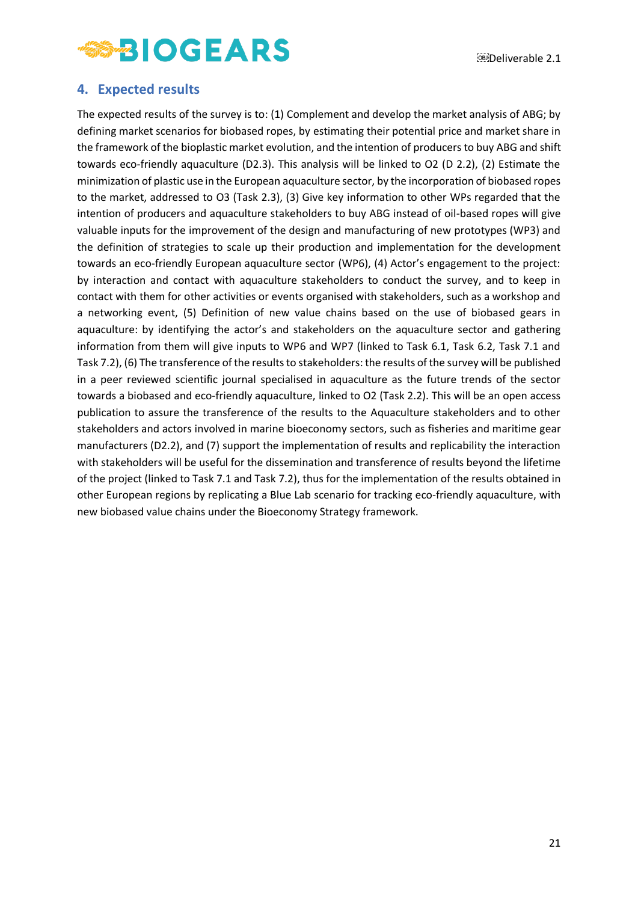### <span id="page-21-0"></span>**4. Expected results**

The expected results of the survey is to: (1) Complement and develop the market analysis of ABG; by defining market scenarios for biobased ropes, by estimating their potential price and market share in the framework of the bioplastic market evolution, and the intention of producers to buy ABG and shift towards eco-friendly aquaculture (D2.3). This analysis will be linked to O2 (D 2.2), (2) Estimate the minimization of plastic use in the European aquaculture sector, by the incorporation of biobased ropes to the market, addressed to O3 (Task 2.3), (3) Give key information to other WPs regarded that the intention of producers and aquaculture stakeholders to buy ABG instead of oil-based ropes will give valuable inputs for the improvement of the design and manufacturing of new prototypes (WP3) and the definition of strategies to scale up their production and implementation for the development towards an eco-friendly European aquaculture sector (WP6), (4) Actor's engagement to the project: by interaction and contact with aquaculture stakeholders to conduct the survey, and to keep in contact with them for other activities or events organised with stakeholders, such as a workshop and a networking event, (5) Definition of new value chains based on the use of biobased gears in aquaculture: by identifying the actor's and stakeholders on the aquaculture sector and gathering information from them will give inputs to WP6 and WP7 (linked to Task 6.1, Task 6.2, Task 7.1 and Task 7.2), (6) The transference of the results to stakeholders: the results of the survey will be published in a peer reviewed scientific journal specialised in aquaculture as the future trends of the sector towards a biobased and eco-friendly aquaculture, linked to O2 (Task 2.2). This will be an open access publication to assure the transference of the results to the Aquaculture stakeholders and to other stakeholders and actors involved in marine bioeconomy sectors, such as fisheries and maritime gear manufacturers (D2.2), and (7) support the implementation of results and replicability the interaction with stakeholders will be useful for the dissemination and transference of results beyond the lifetime of the project (linked to Task 7.1 and Task 7.2), thus for the implementation of the results obtained in other European regions by replicating a Blue Lab scenario for tracking eco-friendly aquaculture, with new biobased value chains under the Bioeconomy Strategy framework.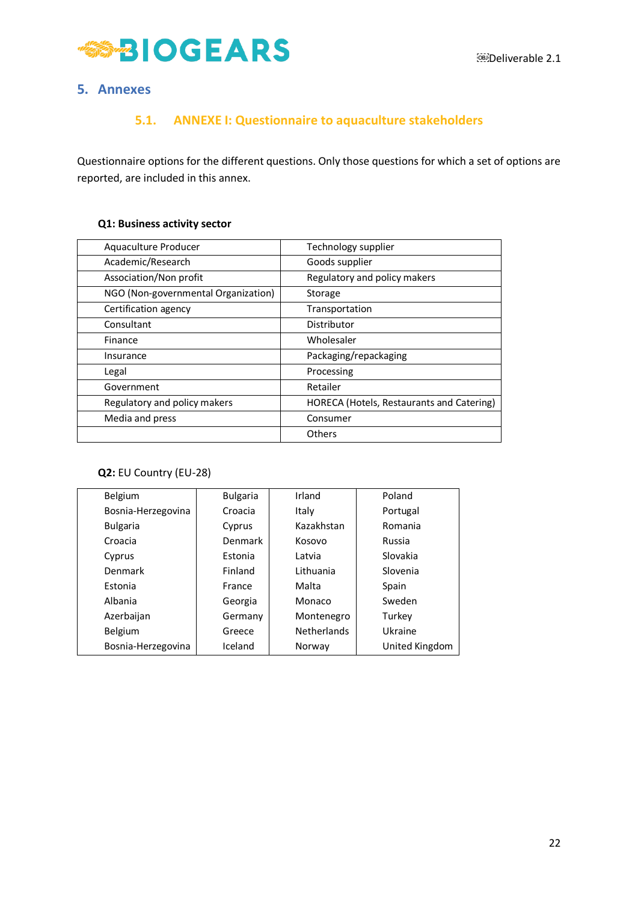

### <span id="page-22-1"></span><span id="page-22-0"></span>**5. Annexes**

## **5.1. ANNEXE I: Questionnaire to aquaculture stakeholders**

Questionnaire options for the different questions. Only those questions for which a set of options are reported, are included in this annex.

#### **Q1: Business activity sector**

| Aquaculture Producer                | Technology supplier                       |
|-------------------------------------|-------------------------------------------|
| Academic/Research                   | Goods supplier                            |
| Association/Non profit              | Regulatory and policy makers              |
| NGO (Non-governmental Organization) | Storage                                   |
| Certification agency                | Transportation                            |
| Consultant                          | Distributor                               |
| Finance                             | Wholesaler                                |
| Insurance                           | Packaging/repackaging                     |
| Legal                               | Processing                                |
| Government                          | Retailer                                  |
| Regulatory and policy makers        | HORECA (Hotels, Restaurants and Catering) |
| Media and press                     | Consumer                                  |
|                                     | Others                                    |

#### **Q2:** EU Country (EU-28)

| Belgium            | <b>Bulgaria</b> | Irland             | Poland         |
|--------------------|-----------------|--------------------|----------------|
| Bosnia-Herzegovina | Croacia         | Italy              | Portugal       |
| <b>Bulgaria</b>    | Cyprus          | Kazakhstan         | Romania        |
| Croacia            | Denmark         | Kosovo             | Russia         |
| Cyprus             | Estonia         | Latvia             | Slovakia       |
| Denmark            | Finland         | Lithuania          | Slovenia       |
| Estonia            | France          | Malta              | Spain          |
| Albania            | Georgia         | Monaco             | Sweden         |
| Azerbaijan         | Germany         | Montenegro         | Turkey         |
| <b>Belgium</b>     | Greece          | <b>Netherlands</b> | Ukraine        |
| Bosnia-Herzegovina | Iceland         | Norway             | United Kingdom |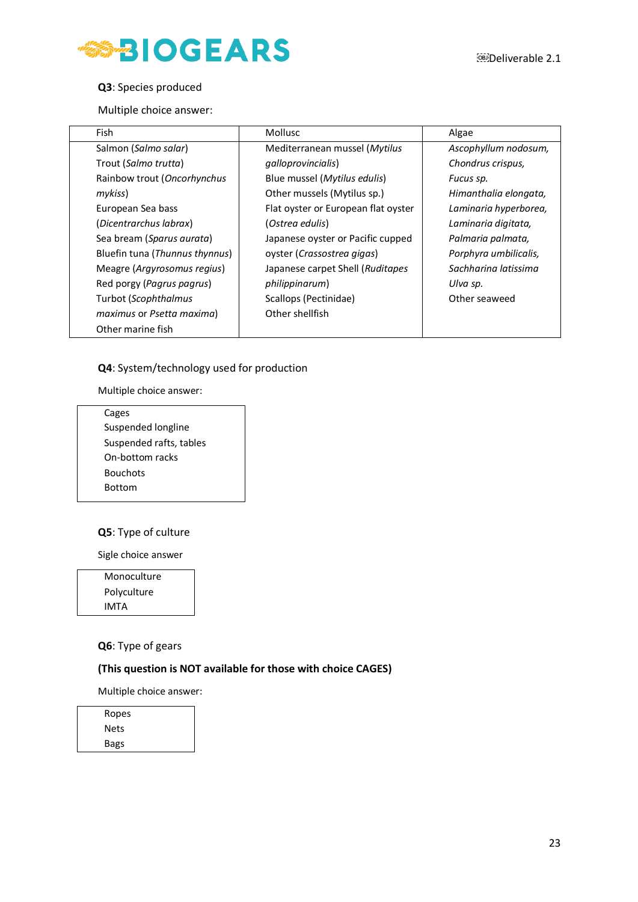

#### **Q3**: Species produced

Multiple choice answer:

| Fish                           | <b>Mollusc</b>                      | Algae                 |
|--------------------------------|-------------------------------------|-----------------------|
| Salmon (Salmo salar)           | Mediterranean mussel (Mytilus       | Ascophyllum nodosum,  |
| Trout (Salmo trutta)           | galloprovincialis)                  | Chondrus crispus,     |
| Rainbow trout (Oncorhynchus    | Blue mussel (Mytilus edulis)        | Fucus sp.             |
| mykiss)                        | Other mussels (Mytilus sp.)         | Himanthalia elongata, |
| European Sea bass              | Flat oyster or European flat oyster | Laminaria hyperborea, |
| (Dicentrarchus labrax)         | (Ostrea edulis)                     | Laminaria digitata,   |
| Sea bream (Sparus aurata)      | Japanese oyster or Pacific cupped   | Palmaria palmata,     |
| Bluefin tuna (Thunnus thynnus) | oyster (Crassostrea gigas)          | Porphyra umbilicalis, |
| Meagre (Argyrosomus regius)    | Japanese carpet Shell (Ruditapes    | Sachharina latissima  |
| Red porgy (Pagrus pagrus)      | philippinarum)                      | Ulva sp.              |
| Turbot (Scophthalmus           | Scallops (Pectinidae)               | Other seaweed         |
| maximus or Psetta maxima)      | Other shellfish                     |                       |
| Other marine fish              |                                     |                       |

#### **Q4**: System/technology used for production

Multiple choice answer:

| Cages                   |
|-------------------------|
| Suspended longline      |
| Suspended rafts, tables |
| On-bottom racks         |
| <b>Bouchots</b>         |
| Bottom                  |

#### **Q5**: Type of culture

Sigle choice answer

Monoculture Polyculture IMTA

#### **Q6**: Type of gears

#### **(This question is NOT available for those with choice CAGES)**

Multiple choice answer:

| Ropes |  |
|-------|--|
| Nets  |  |
| Bags  |  |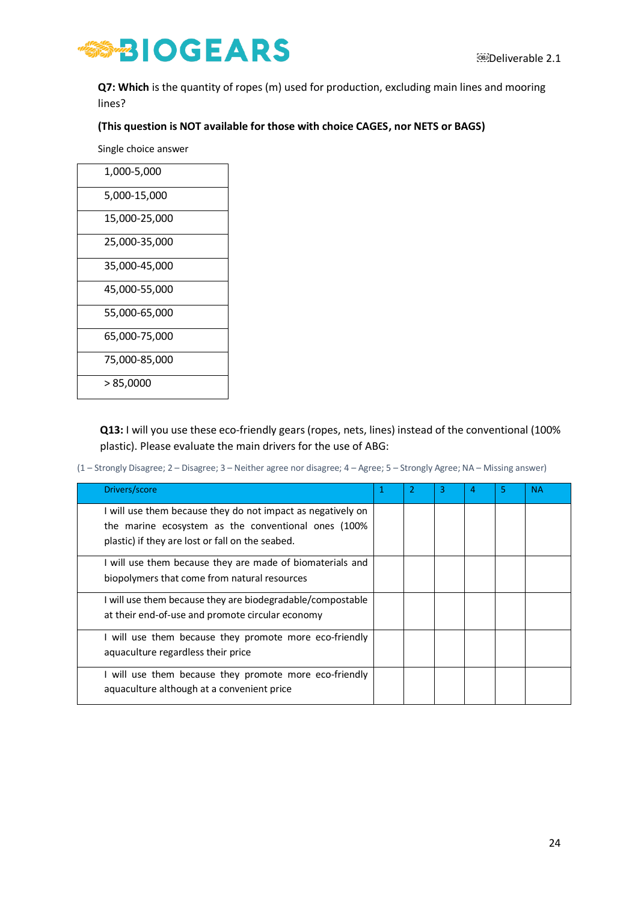

**Q7: Which** is the quantity of ropes (m) used for production, excluding main lines and mooring lines?

#### **(This question is NOT available for those with choice CAGES, nor NETS or BAGS)**

Single choice answer

| 1,000-5,000   |
|---------------|
| 5,000-15,000  |
| 15,000-25,000 |
| 25,000-35,000 |
| 35,000-45,000 |
| 45,000-55,000 |
| 55,000-65,000 |
| 65,000-75,000 |
| 75,000-85,000 |
| > 85,0000     |

**Q13:** I will you use these eco-friendly gears (ropes, nets, lines) instead of the conventional (100% plastic). Please evaluate the main drivers for the use of ABG:

(1 – Strongly Disagree; 2 – Disagree; 3 – Neither agree nor disagree; 4 – Agree; 5 – Strongly Agree; NA – Missing answer)

| Drivers/score                                                                                                                                                          |  | З | 4 | 5 | <b>NA</b> |
|------------------------------------------------------------------------------------------------------------------------------------------------------------------------|--|---|---|---|-----------|
| I will use them because they do not impact as negatively on<br>the marine ecosystem as the conventional ones (100%<br>plastic) if they are lost or fall on the seabed. |  |   |   |   |           |
| I will use them because they are made of biomaterials and<br>biopolymers that come from natural resources                                                              |  |   |   |   |           |
| I will use them because they are biodegradable/compostable<br>at their end-of-use and promote circular economy                                                         |  |   |   |   |           |
| I will use them because they promote more eco-friendly<br>aquaculture regardless their price                                                                           |  |   |   |   |           |
| I will use them because they promote more eco-friendly<br>aquaculture although at a convenient price                                                                   |  |   |   |   |           |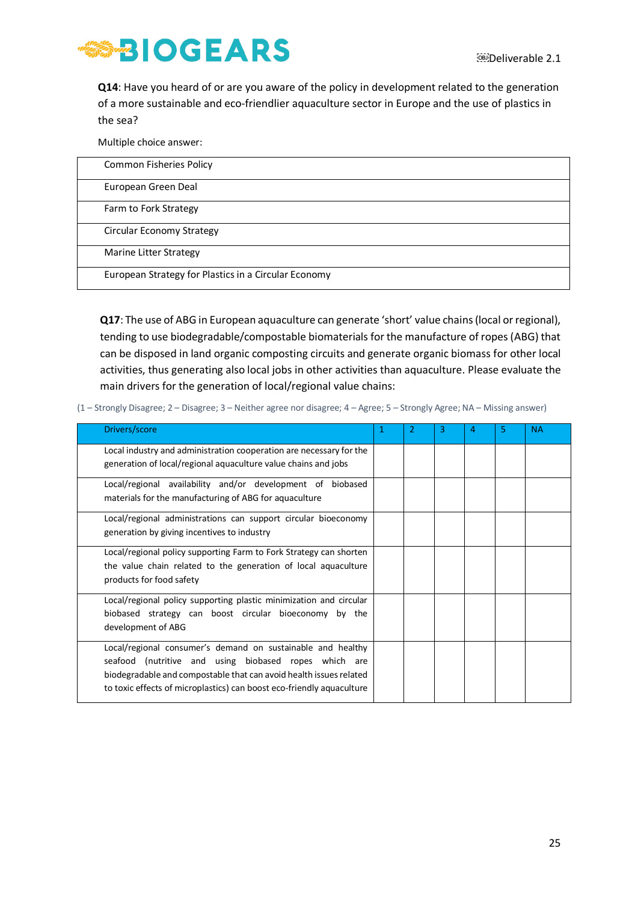

**Q14**: Have you heard of or are you aware of the policy in development related to the generation of a more sustainable and eco-friendlier aquaculture sector in Europe and the use of plastics in the sea?

Multiple choice answer:

| <b>Common Fisheries Policy</b>                       |  |
|------------------------------------------------------|--|
| European Green Deal                                  |  |
| Farm to Fork Strategy                                |  |
| Circular Economy Strategy                            |  |
| Marine Litter Strategy                               |  |
| European Strategy for Plastics in a Circular Economy |  |

**Q17**: The use of ABG in European aquaculture can generate 'short' value chains (local or regional), tending to use biodegradable/compostable biomaterials for the manufacture of ropes (ABG) that can be disposed in land organic composting circuits and generate organic biomass for other local activities, thus generating also local jobs in other activities than aquaculture. Please evaluate the main drivers for the generation of local/regional value chains:

(1 – Strongly Disagree; 2 – Disagree; 3 – Neither agree nor disagree; 4 – Agree; 5 – Strongly Agree; NA – Missing answer)

| Drivers/score                                                                                                                                                                                                                                                       | 1 | 3 | 4 | 5 | <b>NA</b> |
|---------------------------------------------------------------------------------------------------------------------------------------------------------------------------------------------------------------------------------------------------------------------|---|---|---|---|-----------|
| Local industry and administration cooperation are necessary for the<br>generation of local/regional aquaculture value chains and jobs                                                                                                                               |   |   |   |   |           |
| Local/regional availability and/or development of biobased<br>materials for the manufacturing of ABG for aquaculture                                                                                                                                                |   |   |   |   |           |
| Local/regional administrations can support circular bioeconomy<br>generation by giving incentives to industry                                                                                                                                                       |   |   |   |   |           |
| Local/regional policy supporting Farm to Fork Strategy can shorten<br>the value chain related to the generation of local aquaculture<br>products for food safety                                                                                                    |   |   |   |   |           |
| Local/regional policy supporting plastic minimization and circular<br>biobased strategy can boost circular bioeconomy by the<br>development of ABG                                                                                                                  |   |   |   |   |           |
| Local/regional consumer's demand on sustainable and healthy<br>seafood (nutritive and using biobased ropes which are<br>biodegradable and compostable that can avoid health issues related<br>to toxic effects of microplastics) can boost eco-friendly aquaculture |   |   |   |   |           |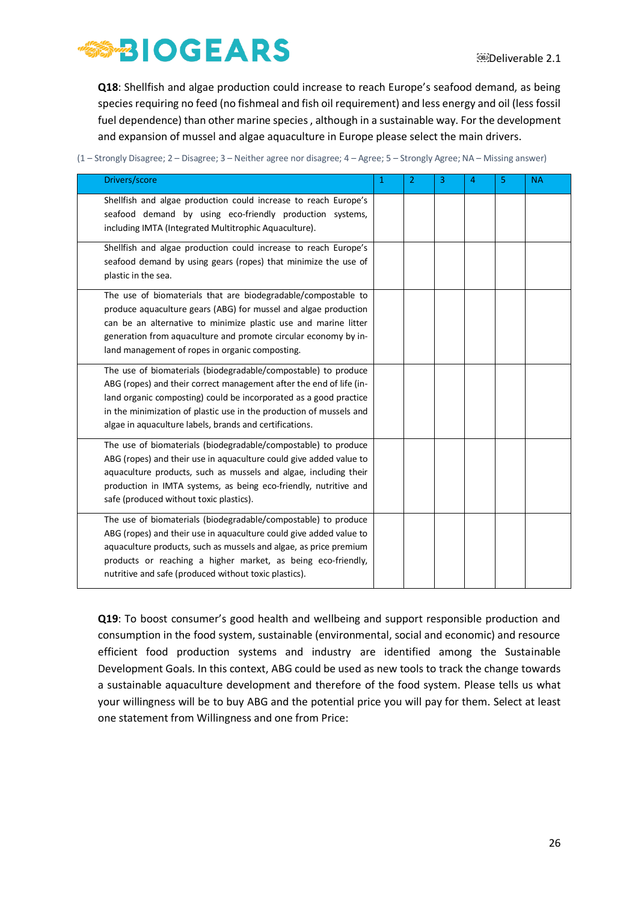**Q18**: Shellfish and algae production could increase to reach Europe's seafood demand, as being species requiring no feed (no fishmeal and fish oil requirement) and less energy and oil (less fossil fuel dependence) than other marine species , although in a sustainable way. For the development and expansion of mussel and algae aquaculture in Europe please select the main drivers.

(1 – Strongly Disagree; 2 – Disagree; 3 – Neither agree nor disagree; 4 – Agree; 5 – Strongly Agree; NA – Missing answer)

| Drivers/score                                                                                                                                                                                                                                                                                                                                | 1 | $\overline{2}$ | 3 | 4 | 5 | <b>NA</b> |
|----------------------------------------------------------------------------------------------------------------------------------------------------------------------------------------------------------------------------------------------------------------------------------------------------------------------------------------------|---|----------------|---|---|---|-----------|
| Shellfish and algae production could increase to reach Europe's<br>seafood demand by using eco-friendly production systems,<br>including IMTA (Integrated Multitrophic Aquaculture).                                                                                                                                                         |   |                |   |   |   |           |
| Shellfish and algae production could increase to reach Europe's<br>seafood demand by using gears (ropes) that minimize the use of<br>plastic in the sea.                                                                                                                                                                                     |   |                |   |   |   |           |
| The use of biomaterials that are biodegradable/compostable to<br>produce aquaculture gears (ABG) for mussel and algae production<br>can be an alternative to minimize plastic use and marine litter<br>generation from aquaculture and promote circular economy by in-<br>land management of ropes in organic composting.                    |   |                |   |   |   |           |
| The use of biomaterials (biodegradable/compostable) to produce<br>ABG (ropes) and their correct management after the end of life (in-<br>land organic composting) could be incorporated as a good practice<br>in the minimization of plastic use in the production of mussels and<br>algae in aquaculture labels, brands and certifications. |   |                |   |   |   |           |
| The use of biomaterials (biodegradable/compostable) to produce<br>ABG (ropes) and their use in aquaculture could give added value to<br>aquaculture products, such as mussels and algae, including their<br>production in IMTA systems, as being eco-friendly, nutritive and<br>safe (produced without toxic plastics).                      |   |                |   |   |   |           |
| The use of biomaterials (biodegradable/compostable) to produce<br>ABG (ropes) and their use in aquaculture could give added value to<br>aquaculture products, such as mussels and algae, as price premium<br>products or reaching a higher market, as being eco-friendly,<br>nutritive and safe (produced without toxic plastics).           |   |                |   |   |   |           |

**Q19**: To boost consumer's good health and wellbeing and support responsible production and consumption in the food system, sustainable (environmental, social and economic) and resource efficient food production systems and industry are identified among the Sustainable Development Goals. In this context, ABG could be used as new tools to track the change towards a sustainable aquaculture development and therefore of the food system. Please tells us what your willingness will be to buy ABG and the potential price you will pay for them. Select at least one statement from Willingness and one from Price: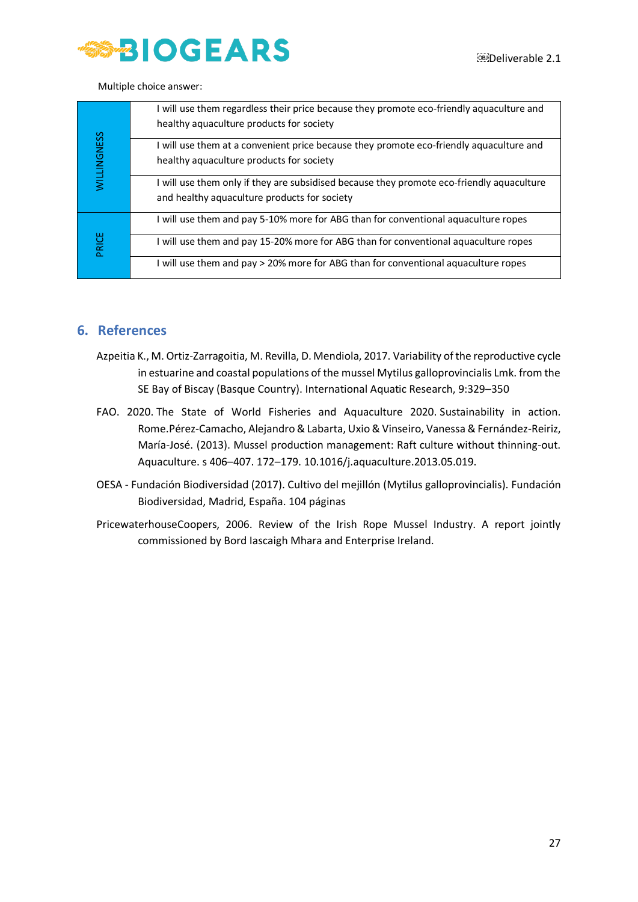

Multiple choice answer:

|                    | I will use them regardless their price because they promote eco-friendly aquaculture and<br>healthy aquaculture products for society      |
|--------------------|-------------------------------------------------------------------------------------------------------------------------------------------|
| <b>WILLINGNESS</b> | I will use them at a convenient price because they promote eco-friendly aquaculture and<br>healthy aquaculture products for society       |
|                    | I will use them only if they are subsidised because they promote eco-friendly aquaculture<br>and healthy aquaculture products for society |
|                    | I will use them and pay 5-10% more for ABG than for conventional aquaculture ropes                                                        |
| PRICE              | I will use them and pay 15-20% more for ABG than for conventional aquaculture ropes                                                       |
|                    | I will use them and pay > 20% more for ABG than for conventional aquaculture ropes                                                        |

### <span id="page-27-0"></span>**6. References**

- Azpeitia K., M. Ortiz-Zarragoitia, M. Revilla, D. Mendiola, 2017. Variability of the reproductive cycle in estuarine and coastal populations of the mussel Mytilus galloprovincialis Lmk. from the SE Bay of Biscay (Basque Country). International Aquatic Research, 9:329–350
- FAO. 2020. The State of World Fisheries and Aquaculture 2020. Sustainability in action. Rome.Pérez-Camacho, Alejandro & Labarta, Uxio & Vinseiro, Vanessa & Fernández-Reiriz, María-José. (2013). Mussel production management: Raft culture without thinning-out. Aquaculture. s 406–407. 172–179. 10.1016/j.aquaculture.2013.05.019.
- OESA Fundación Biodiversidad (2017). Cultivo del mejillón (Mytilus galloprovincialis). Fundación Biodiversidad, Madrid, España. 104 páginas
- PricewaterhouseCoopers, 2006. Review of the Irish Rope Mussel Industry. A report jointly commissioned by Bord Iascaigh Mhara and Enterprise Ireland.